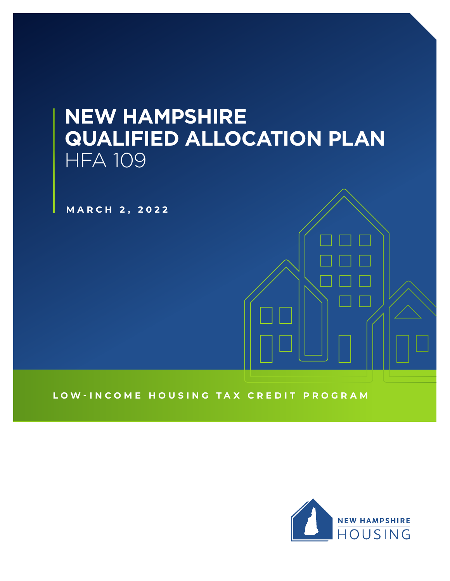# **NEW HAMPSHIRE QUALIFIED ALLOCATION PLAN** HFA 109

**MARCH 2, 2022**

**LOW-INCOME HOUSING TAX CREDIT PROGRAM**

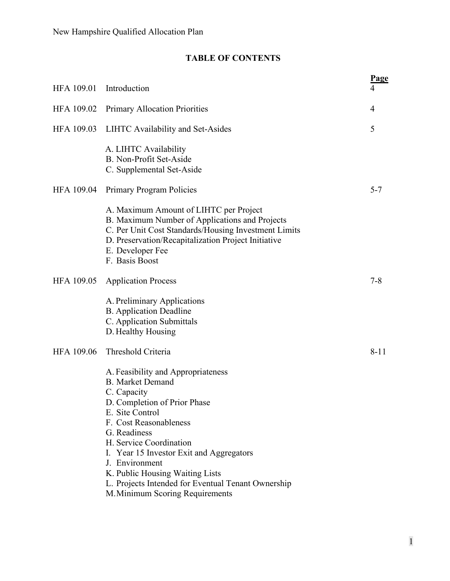# **TABLE OF CONTENTS**

| HFA 109.01        | Introduction                                                                                                                                                                                                                                                                                                                                                                                   | <b>Page</b><br>4 |
|-------------------|------------------------------------------------------------------------------------------------------------------------------------------------------------------------------------------------------------------------------------------------------------------------------------------------------------------------------------------------------------------------------------------------|------------------|
| HFA 109.02        | <b>Primary Allocation Priorities</b>                                                                                                                                                                                                                                                                                                                                                           | 4                |
| <b>HFA 109.03</b> | LIHTC Availability and Set-Asides                                                                                                                                                                                                                                                                                                                                                              | 5                |
|                   | A. LIHTC Availability<br>B. Non-Profit Set-Aside<br>C. Supplemental Set-Aside                                                                                                                                                                                                                                                                                                                  |                  |
| <b>HFA 109.04</b> | <b>Primary Program Policies</b>                                                                                                                                                                                                                                                                                                                                                                | $5 - 7$          |
|                   | A. Maximum Amount of LIHTC per Project<br>B. Maximum Number of Applications and Projects<br>C. Per Unit Cost Standards/Housing Investment Limits<br>D. Preservation/Recapitalization Project Initiative<br>E. Developer Fee<br>F. Basis Boost                                                                                                                                                  |                  |
| <b>HFA 109.05</b> | <b>Application Process</b>                                                                                                                                                                                                                                                                                                                                                                     | $7 - 8$          |
|                   | A. Preliminary Applications<br><b>B.</b> Application Deadline<br>C. Application Submittals<br>D. Healthy Housing                                                                                                                                                                                                                                                                               |                  |
| <b>HFA 109.06</b> | Threshold Criteria                                                                                                                                                                                                                                                                                                                                                                             | $8 - 11$         |
|                   | A. Feasibility and Appropriateness<br><b>B.</b> Market Demand<br>C. Capacity<br>D. Completion of Prior Phase<br>E. Site Control<br>F. Cost Reasonableness<br>G. Readiness<br>H. Service Coordination<br>I. Year 15 Investor Exit and Aggregators<br>J. Environment<br>K. Public Housing Waiting Lists<br>L. Projects Intended for Eventual Tenant Ownership<br>M. Minimum Scoring Requirements |                  |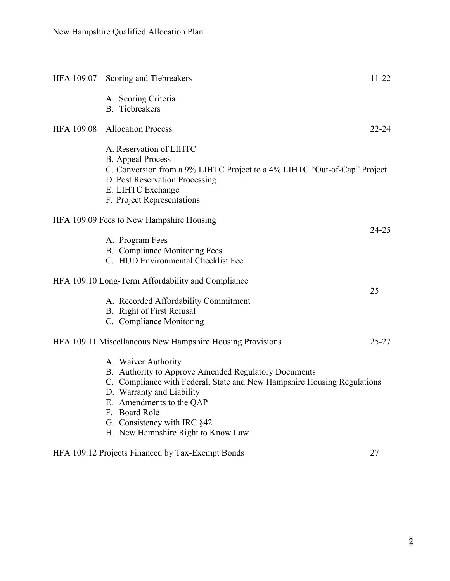|                   | HFA 109.07 Scoring and Tiebreakers                                                                                                                                                                                                                                                                    | 11-22     |
|-------------------|-------------------------------------------------------------------------------------------------------------------------------------------------------------------------------------------------------------------------------------------------------------------------------------------------------|-----------|
|                   | A. Scoring Criteria<br><b>B.</b> Tiebreakers                                                                                                                                                                                                                                                          |           |
| <b>HFA 109.08</b> | <b>Allocation Process</b>                                                                                                                                                                                                                                                                             | $22 - 24$ |
|                   | A. Reservation of LIHTC<br><b>B.</b> Appeal Process<br>C. Conversion from a 9% LIHTC Project to a 4% LIHTC "Out-of-Cap" Project<br>D. Post Reservation Processing<br>E. LIHTC Exchange<br>F. Project Representations                                                                                  |           |
|                   | HFA 109.09 Fees to New Hampshire Housing                                                                                                                                                                                                                                                              |           |
|                   | A. Program Fees<br>B. Compliance Monitoring Fees<br>C. HUD Environmental Checklist Fee                                                                                                                                                                                                                | $24 - 25$ |
|                   | HFA 109.10 Long-Term Affordability and Compliance                                                                                                                                                                                                                                                     | 25        |
|                   | A. Recorded Affordability Commitment<br>B. Right of First Refusal<br>C. Compliance Monitoring                                                                                                                                                                                                         |           |
|                   | HFA 109.11 Miscellaneous New Hampshire Housing Provisions                                                                                                                                                                                                                                             | $25 - 27$ |
|                   | A. Waiver Authority<br>B. Authority to Approve Amended Regulatory Documents<br>C. Compliance with Federal, State and New Hampshire Housing Regulations<br>D. Warranty and Liability<br>E. Amendments to the QAP<br>F. Board Role<br>G. Consistency with IRC §42<br>H. New Hampshire Right to Know Law |           |
|                   | HFA 109.12 Projects Financed by Tax-Exempt Bonds                                                                                                                                                                                                                                                      | 27        |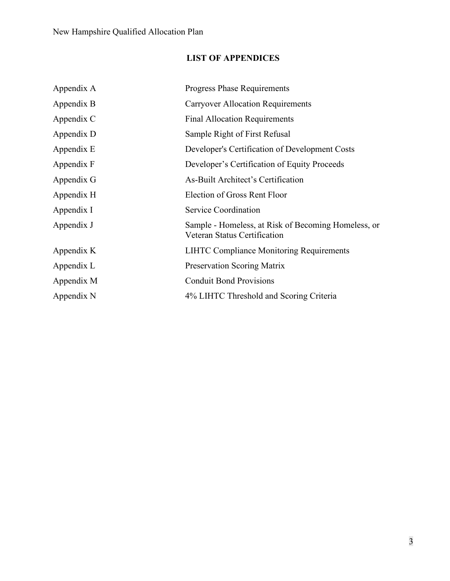# **LIST OF APPENDICES**

| Appendix A | <b>Progress Phase Requirements</b>                                                  |
|------------|-------------------------------------------------------------------------------------|
| Appendix B | <b>Carryover Allocation Requirements</b>                                            |
| Appendix C | <b>Final Allocation Requirements</b>                                                |
| Appendix D | Sample Right of First Refusal                                                       |
| Appendix E | Developer's Certification of Development Costs                                      |
| Appendix F | Developer's Certification of Equity Proceeds                                        |
| Appendix G | As-Built Architect's Certification                                                  |
| Appendix H | Election of Gross Rent Floor                                                        |
| Appendix I | Service Coordination                                                                |
| Appendix J | Sample - Homeless, at Risk of Becoming Homeless, or<br>Veteran Status Certification |
| Appendix K | <b>LIHTC Compliance Monitoring Requirements</b>                                     |
| Appendix L | <b>Preservation Scoring Matrix</b>                                                  |
| Appendix M | <b>Conduit Bond Provisions</b>                                                      |
| Appendix N | 4% LIHTC Threshold and Scoring Criteria                                             |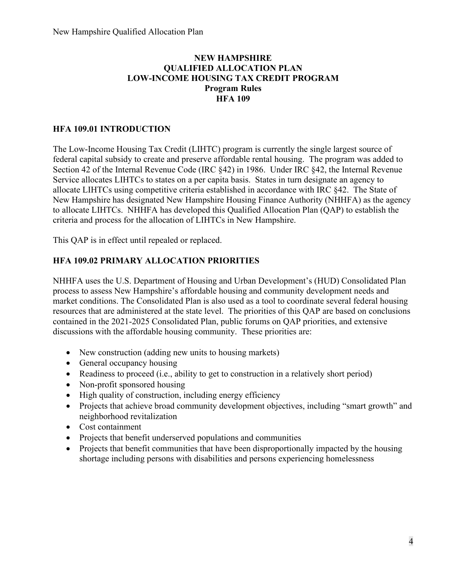## **NEW HAMPSHIRE QUALIFIED ALLOCATION PLAN LOW-INCOME HOUSING TAX CREDIT PROGRAM Program Rules HFA 109**

## **HFA 109.01 INTRODUCTION**

The Low-Income Housing Tax Credit (LIHTC) program is currently the single largest source of federal capital subsidy to create and preserve affordable rental housing. The program was added to Section 42 of the Internal Revenue Code (IRC §42) in 1986. Under IRC §42, the Internal Revenue Service allocates LIHTCs to states on a per capita basis. States in turn designate an agency to allocate LIHTCs using competitive criteria established in accordance with IRC §42. The State of New Hampshire has designated New Hampshire Housing Finance Authority (NHHFA) as the agency to allocate LIHTCs. NHHFA has developed this Qualified Allocation Plan (QAP) to establish the criteria and process for the allocation of LIHTCs in New Hampshire.

This QAP is in effect until repealed or replaced.

# **HFA 109.02 PRIMARY ALLOCATION PRIORITIES**

NHHFA uses the U.S. Department of Housing and Urban Development's (HUD) Consolidated Plan process to assess New Hampshire's affordable housing and community development needs and market conditions. The Consolidated Plan is also used as a tool to coordinate several federal housing resources that are administered at the state level. The priorities of this QAP are based on conclusions contained in the 2021-2025 Consolidated Plan, public forums on QAP priorities, and extensive discussions with the affordable housing community. These priorities are:

- New construction (adding new units to housing markets)
- General occupancy housing
- Readiness to proceed (i.e., ability to get to construction in a relatively short period)
- Non-profit sponsored housing
- High quality of construction, including energy efficiency
- Projects that achieve broad community development objectives, including "smart growth" and neighborhood revitalization
- Cost containment
- Projects that benefit underserved populations and communities
- Projects that benefit communities that have been disproportionally impacted by the housing shortage including persons with disabilities and persons experiencing homelessness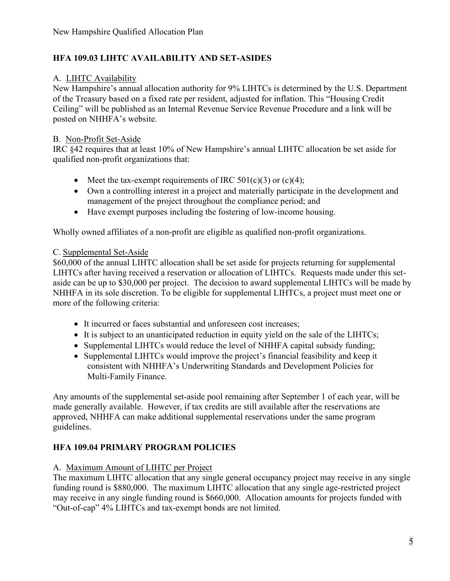# **HFA 109.03 LIHTC AVAILABILITY AND SET-ASIDES**

## A. LIHTC Availability

New Hampshire's annual allocation authority for 9% LIHTCs is determined by the U.S. Department of the Treasury based on a fixed rate per resident, adjusted for inflation. This "Housing Credit Ceiling" will be published as an Internal Revenue Service Revenue Procedure and a link will be posted on NHHFA's website.

## B. Non-Profit Set-Aside

IRC §42 requires that at least 10% of New Hampshire's annual LIHTC allocation be set aside for qualified non-profit organizations that:

- Meet the tax-exempt requirements of IRC  $501(c)(3)$  or  $(c)(4)$ ;
- Own a controlling interest in a project and materially participate in the development and management of the project throughout the compliance period; and
- Have exempt purposes including the fostering of low-income housing.

Wholly owned affiliates of a non-profit are eligible as qualified non-profit organizations.

# C. Supplemental Set-Aside

\$60,000 of the annual LIHTC allocation shall be set aside for projects returning for supplemental LIHTCs after having received a reservation or allocation of LIHTCs. Requests made under this setaside can be up to \$30,000 per project.The decision to award supplemental LIHTCs will be made by NHHFA in its sole discretion. To be eligible for supplemental LIHTCs, a project must meet one or more of the following criteria:

- It incurred or faces substantial and unforeseen cost increases:
- It is subject to an unanticipated reduction in equity yield on the sale of the LIHTCs;
- Supplemental LIHTCs would reduce the level of NHHFA capital subsidy funding;
- Supplemental LIHTCs would improve the project's financial feasibility and keep it consistent with NHHFA's Underwriting Standards and Development Policies for Multi-Family Finance.

Any amounts of the supplemental set-aside pool remaining after September 1 of each year, will be made generally available. However, if tax credits are still available after the reservations are approved, NHHFA can make additional supplemental reservations under the same program guidelines.

# **HFA 109.04 PRIMARY PROGRAM POLICIES**

#### A. Maximum Amount of LIHTC per Project

The maximum LIHTC allocation that any single general occupancy project may receive in any single funding round is \$880,000. The maximum LIHTC allocation that any single age-restricted project may receive in any single funding round is \$660,000. Allocation amounts for projects funded with "Out-of-cap" 4% LIHTCs and tax-exempt bonds are not limited.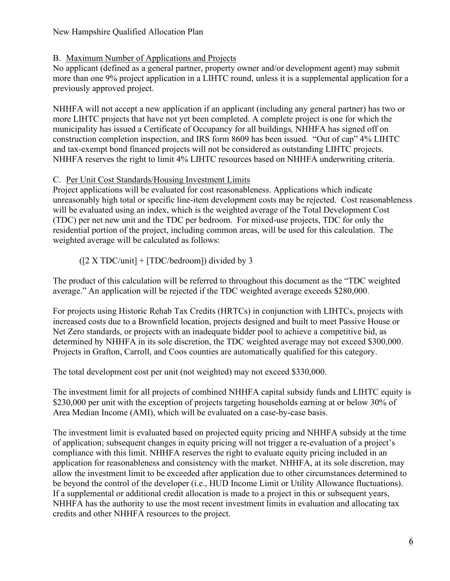#### New Hampshire Qualified Allocation Plan

#### B. Maximum Number of Applications and Projects

No applicant (defined as a general partner, property owner and/or development agent) may submit more than one 9% project application in a LIHTC round, unless it is a supplemental application for a previously approved project.

NHHFA will not accept a new application if an applicant (including any general partner) has two or more LIHTC projects that have not yet been completed. A complete project is one for which the municipality has issued a Certificate of Occupancy for all buildings*,* NHHFA has signed off on construction completion inspection, and IRS form 8609 has been issued. "Out of cap" 4% LIHTC and tax-exempt bond financed projects will not be considered as outstanding LIHTC projects. NHHFA reserves the right to limit 4% LIHTC resources based on NHHFA underwriting criteria.

#### C. Per Unit Cost Standards/Housing Investment Limits

Project applications will be evaluated for cost reasonableness. Applications which indicate unreasonably high total or specific line-item development costs may be rejected. Cost reasonableness will be evaluated using an index, which is the weighted average of the Total Development Cost (TDC) per net new unit and the TDC per bedroom. For mixed-use projects, TDC for only the residential portion of the project, including common areas, will be used for this calculation. The weighted average will be calculated as follows:

#### $([2 \ X \ TDC/unit] + [TDC/bedroom])$  divided by 3

The product of this calculation will be referred to throughout this document as the "TDC weighted average." An application will be rejected if the TDC weighted average exceeds \$280,000.

For projects using Historic Rehab Tax Credits (HRTCs) in conjunction with LIHTCs, projects with increased costs due to a Brownfield location, projects designed and built to meet Passive House or Net Zero standards, or projects with an inadequate bidder pool to achieve a competitive bid, as determined by NHHFA in its sole discretion, the TDC weighted average may not exceed \$300,000. Projects in Grafton, Carroll, and Coos counties are automatically qualified for this category.

The total development cost per unit (not weighted) may not exceed \$330,000.

The investment limit for all projects of combined NHHFA capital subsidy funds and LIHTC equity is \$230,000 per unit with the exception of projects targeting households earning at or below 30% of Area Median Income (AMI), which will be evaluated on a case-by-case basis.

The investment limit is evaluated based on projected equity pricing and NHHFA subsidy at the time of application; subsequent changes in equity pricing will not trigger a re-evaluation of a project's compliance with this limit. NHHFA reserves the right to evaluate equity pricing included in an application for reasonableness and consistency with the market. NHHFA, at its sole discretion, may allow the investment limit to be exceeded after application due to other circumstances determined to be beyond the control of the developer (i.e., HUD Income Limit or Utility Allowance fluctuations). If a supplemental or additional credit allocation is made to a project in this or subsequent years, NHHFA has the authority to use the most recent investment limits in evaluation and allocating tax credits and other NHHFA resources to the project.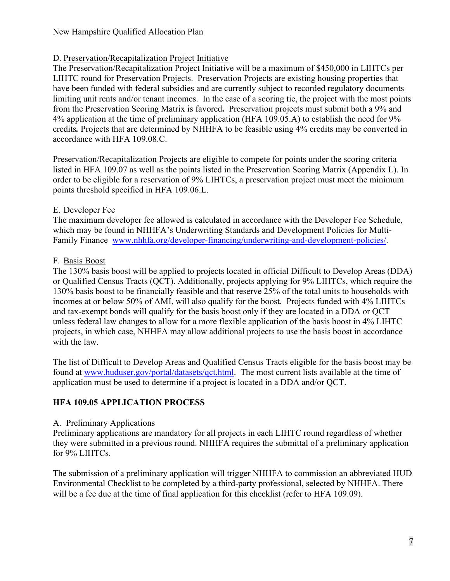# D. Preservation/Recapitalization Project Initiative

The Preservation/Recapitalization Project Initiative will be a maximum of \$450,000 in LIHTCs per LIHTC round for Preservation Projects. Preservation Projects are existing housing properties that have been funded with federal subsidies and are currently subject to recorded regulatory documents limiting unit rents and/or tenant incomes. In the case of a scoring tie, the project with the most points from the Preservation Scoring Matrix is favored**.** Preservation projects must submit both a 9% and 4% application at the time of preliminary application (HFA 109.05.A) to establish the need for 9% credits*.* Projects that are determined by NHHFA to be feasible using 4% credits may be converted in accordance with HFA 109.08.C.

Preservation/Recapitalization Projects are eligible to compete for points under the scoring criteria listed in HFA 109.07 as well as the points listed in the Preservation Scoring Matrix (Appendix L). In order to be eligible for a reservation of 9% LIHTCs, a preservation project must meet the minimum points threshold specified in HFA 109.06.L.

#### E. Developer Fee

The maximum developer fee allowed is calculated in accordance with the Developer Fee Schedule, which may be found in NHHFA's Underwriting Standards and Development Policies for Multi-Family Finance [www.nhhfa.org/developer-financing/underwriting-and-development-policies/](https://www.nhhfa.org/developer-financing/underwriting-and-development-policies/).

# F. Basis Boost

The 130% basis boost will be applied to projects located in official Difficult to Develop Areas (DDA) or Qualified Census Tracts (QCT). Additionally, projects applying for 9% LIHTCs, which require the 130% basis boost to be financially feasible and that reserve 25% of the total units to households with incomes at or below 50% of AMI, will also qualify for the boost*.* Projects funded with 4% LIHTCs and tax-exempt bonds will qualify for the basis boost only if they are located in a DDA or QCT unless federal law changes to allow for a more flexible application of the basis boost in 4% LIHTC projects, in which case, NHHFA may allow additional projects to use the basis boost in accordance with the law.

The list of Difficult to Develop Areas and Qualified Census Tracts eligible for the basis boost may be found at [www.huduser.gov/portal/datasets/qct.html.](https://www.huduser.gov/portal/datasets/qct.html) The most current lists available at the time of application must be used to determine if a project is located in a DDA and/or QCT.

# **HFA 109.05 APPLICATION PROCESS**

#### A. Preliminary Applications

Preliminary applications are mandatory for all projects in each LIHTC round regardless of whether they were submitted in a previous round. NHHFA requires the submittal of a preliminary application for 9% LIHTCs.

The submission of a preliminary application will trigger NHHFA to commission an abbreviated HUD Environmental Checklist to be completed by a third-party professional, selected by NHHFA. There will be a fee due at the time of final application for this checklist (refer to HFA 109.09).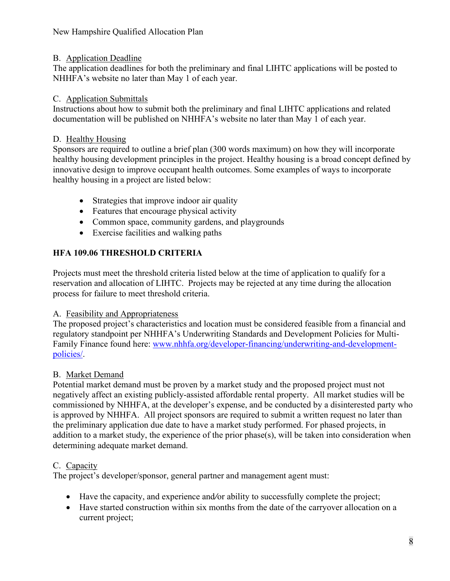# B. Application Deadline

The application deadlines for both the preliminary and final LIHTC applications will be posted to NHHFA's website no later than May 1 of each year.

# C. Application Submittals

Instructions about how to submit both the preliminary and final LIHTC applications and related documentation will be published on NHHFA's website no later than May 1 of each year.

# D. Healthy Housing

Sponsors are required to outline a brief plan (300 words maximum) on how they will incorporate healthy housing development principles in the project. Healthy housing is a broad concept defined by innovative design to improve occupant health outcomes. Some examples of ways to incorporate healthy housing in a project are listed below:

- Strategies that improve indoor air quality
- Features that encourage physical activity
- Common space, community gardens, and playgrounds
- Exercise facilities and walking paths

# **HFA 109.06 THRESHOLD CRITERIA**

Projects must meet the threshold criteria listed below at the time of application to qualify for a reservation and allocation of LIHTC. Projects may be rejected at any time during the allocation process for failure to meet threshold criteria.

# A. Feasibility and Appropriateness

The proposed project's characteristics and location must be considered feasible from a financial and regulatory standpoint per NHHFA's Underwriting Standards and Development Policies for Multi-Family Finance found here: [www.nhhfa.org/developer-financing/underwriting-and-development](http://www.nhhfa.org/developer-financing/underwriting-and-development-policies/)[policies/.](http://www.nhhfa.org/developer-financing/underwriting-and-development-policies/)

# B. Market Demand

Potential market demand must be proven by a market study and the proposed project must not negatively affect an existing publicly-assisted affordable rental property. All market studies will be commissioned by NHHFA, at the developer's expense, and be conducted by a disinterested party who is approved by NHHFA. All project sponsors are required to submit a written request no later than the preliminary application due date to have a market study performed. For phased projects, in addition to a market study, the experience of the prior phase(s), will be taken into consideration when determining adequate market demand.

# C. Capacity

The project's developer/sponsor, general partner and management agent must:

- Have the capacity, and experience and*/*or ability to successfully complete the project;
- Have started construction within six months from the date of the carryover allocation on a current project;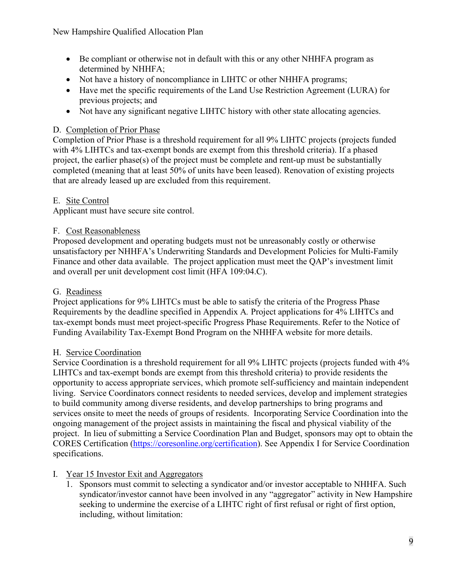- Be compliant or otherwise not in default with this or any other NHHFA program as determined by NHHFA;
- Not have a history of noncompliance in LIHTC or other NHHFA programs;
- Have met the specific requirements of the Land Use Restriction Agreement (LURA) for previous projects; and
- Not have any significant negative LIHTC history with other state allocating agencies.

# D. Completion of Prior Phase

Completion of Prior Phase is a threshold requirement for all 9% LIHTC projects (projects funded with 4% LIHTCs and tax-exempt bonds are exempt from this threshold criteria). If a phased project, the earlier phase(s) of the project must be complete and rent-up must be substantially completed (meaning that at least 50% of units have been leased). Renovation of existing projects that are already leased up are excluded from this requirement.

# E. Site Control

Applicant must have secure site control.

# F. Cost Reasonableness

Proposed development and operating budgets must not be unreasonably costly or otherwise unsatisfactory per NHHFA's Underwriting Standards and Development Policies for Multi-Family Finance and other data available. The project application must meet the QAP's investment limit and overall per unit development cost limit (HFA 109:04.C).

# G. Readiness

Project applications for 9% LIHTCs must be able to satisfy the criteria of the Progress Phase Requirements by the deadline specified in Appendix A*.* Project applications for 4% LIHTCs and tax-exempt bonds must meet project-specific Progress Phase Requirements. Refer to the Notice of Funding Availability Tax-Exempt Bond Program on the NHHFA website for more details.

# H. Service Coordination

Service Coordination is a threshold requirement for all 9% LIHTC projects (projects funded with 4% LIHTCs and tax-exempt bonds are exempt from this threshold criteria) to provide residents the opportunity to access appropriate services, which promote self-sufficiency and maintain independent living. Service Coordinators connect residents to needed services, develop and implement strategies to build community among diverse residents, and develop partnerships to bring programs and services onsite to meet the needs of groups of residents. Incorporating Service Coordination into the ongoing management of the project assists in maintaining the fiscal and physical viability of the project. In lieu of submitting a Service Coordination Plan and Budget, sponsors may opt to obtain the CORES Certification [\(https://coresonline.org/certification\)](https://coresonline.org/certification). See Appendix I for Service Coordination specifications.

# I. Year 15 Investor Exit and Aggregators

1. Sponsors must commit to selecting a syndicator and/or investor acceptable to NHHFA. Such syndicator/investor cannot have been involved in any "aggregator" activity in New Hampshire seeking to undermine the exercise of a LIHTC right of first refusal or right of first option, including, without limitation: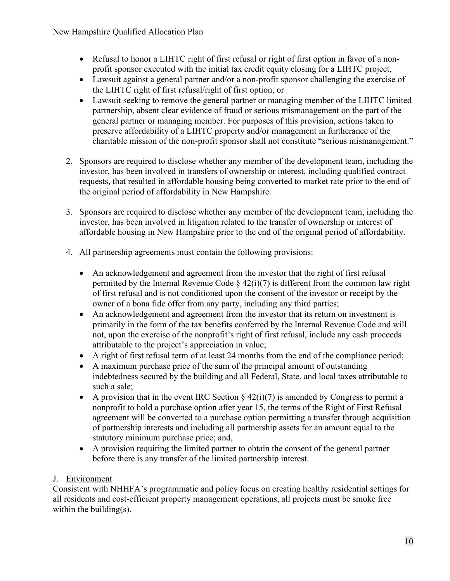- Refusal to honor a LIHTC right of first refusal or right of first option in favor of a nonprofit sponsor executed with the initial tax credit equity closing for a LIHTC project,
- Lawsuit against a general partner and/or a non-profit sponsor challenging the exercise of the LIHTC right of first refusal/right of first option, or
- Lawsuit seeking to remove the general partner or managing member of the LIHTC limited partnership, absent clear evidence of fraud or serious mismanagement on the part of the general partner or managing member. For purposes of this provision, actions taken to preserve affordability of a LIHTC property and/or management in furtherance of the charitable mission of the non-profit sponsor shall not constitute "serious mismanagement."
- 2. Sponsors are required to disclose whether any member of the development team, including the investor, has been involved in transfers of ownership or interest, including qualified contract requests, that resulted in affordable housing being converted to market rate prior to the end of the original period of affordability in New Hampshire.
- 3. Sponsors are required to disclose whether any member of the development team, including the investor, has been involved in litigation related to the transfer of ownership or interest of affordable housing in New Hampshire prior to the end of the original period of affordability.
- 4. All partnership agreements must contain the following provisions:
	- An acknowledgement and agreement from the investor that the right of first refusal permitted by the Internal Revenue Code  $\S$  42(i)(7) is different from the common law right of first refusal and is not conditioned upon the consent of the investor or receipt by the owner of a bona fide offer from any party, including any third parties;
	- An acknowledgement and agreement from the investor that its return on investment is primarily in the form of the tax benefits conferred by the Internal Revenue Code and will not, upon the exercise of the nonprofit's right of first refusal, include any cash proceeds attributable to the project's appreciation in value;
	- A right of first refusal term of at least 24 months from the end of the compliance period;
	- A maximum purchase price of the sum of the principal amount of outstanding indebtedness secured by the building and all Federal, State, and local taxes attributable to such a sale;
	- A provision that in the event IRC Section  $\S 42(i)/7$  is amended by Congress to permit a nonprofit to hold a purchase option after year 15, the terms of the Right of First Refusal agreement will be converted to a purchase option permitting a transfer through acquisition of partnership interests and including all partnership assets for an amount equal to the statutory minimum purchase price; and,
	- A provision requiring the limited partner to obtain the consent of the general partner before there is any transfer of the limited partnership interest.

# J. Environment

Consistent with NHHFA's programmatic and policy focus on creating healthy residential settings for all residents and cost-efficient property management operations, all projects must be smoke free within the building(s).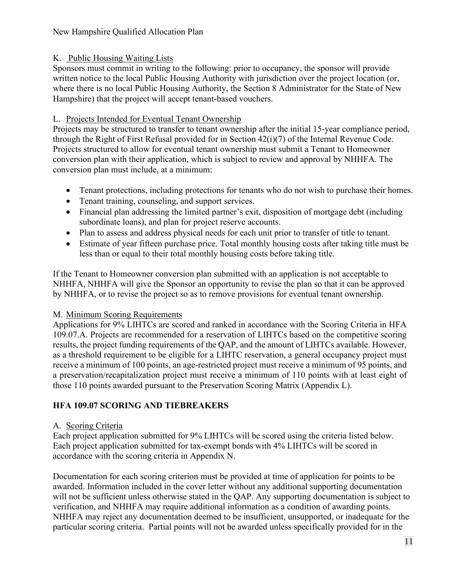# New Hampshire Qualified Allocation Plan

# K. Public Housing Waiting Lists

Sponsors must commit in writing to the following: prior to occupancy, the sponsor will provide written notice to the local Public Housing Authority with jurisdiction over the project location (or, where there is no local Public Housing Authority, the Section 8 Administrator for the State of New Hampshire) that the project will accept tenant-based vouchers.

# L. Projects Intended for Eventual Tenant Ownership

Projects may be structured to transfer to tenant ownership after the initial 15-year compliance period, through the Right of First Refusal provided for in Section 42(i)(7) of the Internal Revenue Code. Projects structured to allow for eventual tenant ownership must submit a Tenant to Homeowner conversion plan with their application, which is subject to review and approval by NHHFA. The conversion plan must include, at a minimum:

- Tenant protections, including protections for tenants who do not wish to purchase their homes.
- Tenant training, counseling, and support services.
- Financial plan addressing the limited partner's exit, disposition of mortgage debt (including subordinate loans), and plan for project reserve accounts.
- Plan to assess and address physical needs for each unit prior to transfer of title to tenant.
- Estimate of year fifteen purchase price. Total monthly housing costs after taking title must be less than or equal to their total monthly housing costs before taking title.

If the Tenant to Homeowner conversion plan submitted with an application is not acceptable to NHHFA, NHHFA will give the Sponsor an opportunity to revise the plan so that it can be approved by NHHFA, or to revise the project so as to remove provisions for eventual tenant ownership.

# M. Minimum Scoring Requirements

Applications for 9% LIHTCs are scored and ranked in accordance with the Scoring Criteria in HFA 109.07.A. Projects are recommended for a reservation of LIHTCs based on the competitive scoring results, the project funding requirements of the QAP, and the amount of LIHTCs available. However, as a threshold requirement to be eligible for a LIHTC reservation, a general occupancy project must receive a minimum of 100 points, an age-restricted project must receive a minimum of 95 points, and a preservation/recapitalization project must receive a minimum of 110 points with at least eight of those 110 points awarded pursuant to the Preservation Scoring Matrix (Appendix L).

# **HFA 109.07 SCORING AND TIEBREAKERS**

# A. Scoring Criteria

Each project application submitted for 9% LIHTCs will be scored using the criteria listed below. Each project application submitted for tax-exempt bonds with 4% LIHTCs will be scored in accordance with the scoring criteria in Appendix N.

Documentation for each scoring criterion must be provided at time of application for points to be awarded. Information included in the cover letter without any additional supporting documentation will not be sufficient unless otherwise stated in the QAP. Any supporting documentation is subject to verification, and NHHFA may require additional information as a condition of awarding points. NHHFA may reject any documentation deemed to be insufficient, unsupported, or inadequate for the particular scoring criteria. Partial points will not be awarded unless specifically provided for in the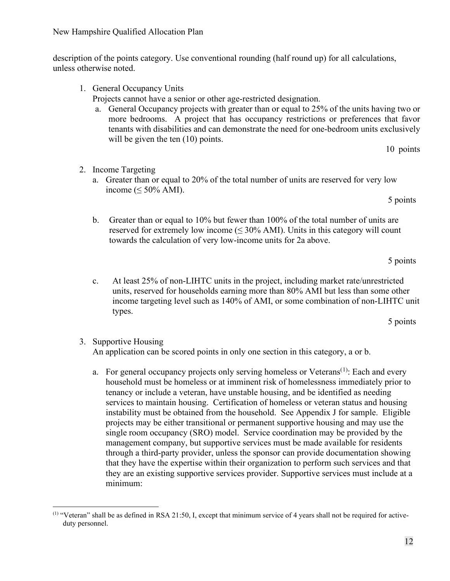- services to maintain housing. Certification of homeless or veteran status and housing instability must be obtained from the household. See Appendix J for sample. Eligible projects may be either transitional or permanent supportive housing and may use the single room occupancy (SRO) model. Service coordination may be provided by the management company, but supportive services must be made available for residents through a third-party provider, unless the sponsor can provide documentation showing that they have the expertise within their organization to perform such services and that they are an existing supportive services provider. Supportive services must include at a
- units, reserved for households earning more than 80% AMI but less than some other income targeting level such as 140% of AMI, or some combination of non-LIHTC unit types. 5 points 3. Supportive Housing
- b. Greater than or equal to 10% but fewer than 100% of the total number of units are reserved for extremely low income  $(\leq 30\%$  AMI). Units in this category will count towards the calculation of very low-income units for 2a above.

c. At least 25% of non-LIHTC units in the project, including market rate/unrestricted

a. For general occupancy projects only serving homeless or Veterans<sup> $(1)$  $(1)$  $(1)$ </sup>: Each and every household must be homeless or at imminent risk of homelessness immediately prior to tenancy or include a veteran, have unstable housing, and be identified as needing

An application can be scored points in only one section in this category, a or b.

- income ( $\leq 50\%$  AMI). 5 points
- Projects cannot have a senior or other age-restricted designation. a. General Occupancy projects with greater than or equal to 25% of the units having two or more bedrooms. A project that has occupancy restrictions or preferences that favor tenants with disabilities and can demonstrate the need for one-bedroom units exclusively
- 10 points

minimum:

- 2. Income Targeting
	- a. Greater than or equal to 20% of the total number of units are reserved for very low
		-

description of the points category. Use conventional rounding (half round up) for all calculations, unless otherwise noted.

will be given the ten  $(10)$  points.

1. General Occupancy Units

# New Hampshire Qualified Allocation Plan

# 12

5 points

<span id="page-12-0"></span><sup>(1)</sup> "Veteran" shall be as defined in RSA 21:50, I, except that minimum service of 4 years shall not be required for activeduty personnel.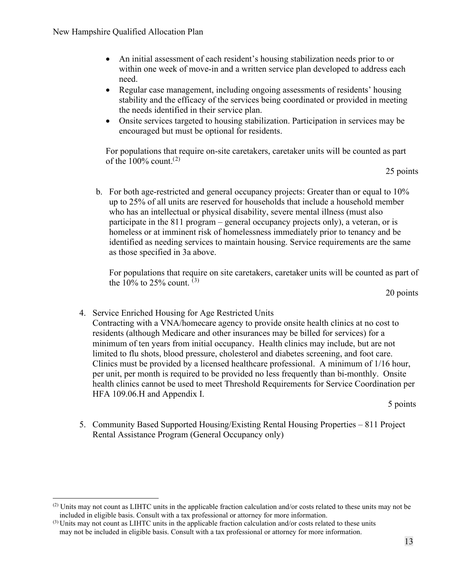- An initial assessment of each resident's housing stabilization needs prior to or within one week of move-in and a written service plan developed to address each need.
- Regular case management, including ongoing assessments of residents' housing stability and the efficacy of the services being coordinated or provided in meeting the needs identified in their service plan.
- Onsite services targeted to housing stabilization. Participation in services may be encouraged but must be optional for residents.

For populations that require on-site caretakers, caretaker units will be counted as part of the  $100\%$  count.<sup>([2](#page-13-0))</sup>

25 points

b. For both age-restricted and general occupancy projects: Greater than or equal to 10% up to 25% of all units are reserved for households that include a household member who has an intellectual or physical disability, severe mental illness (must also participate in the 811 program – general occupancy projects only), a veteran, or is homeless or at imminent risk of homelessness immediately prior to tenancy and be identified as needing services to maintain housing. Service requirements are the same as those specified in 3a above.

For populations that require on site caretakers, caretaker units will be counted as part of the 10% to 25% count.  $(3)$  $(3)$  $(3)$ 

20 points

4. Service Enriched Housing for Age Restricted Units Contracting with a VNA/homecare agency to provide onsite health clinics at no cost to residents (although Medicare and other insurances may be billed for services) for a minimum of ten years from initial occupancy. Health clinics may include, but are not limited to flu shots, blood pressure, cholesterol and diabetes screening, and foot care. Clinics must be provided by a licensed healthcare professional. A minimum of 1/16 hour, per unit, per month is required to be provided no less frequently than bi-monthly. Onsite health clinics cannot be used to meet Threshold Requirements for Service Coordination per HFA 109.06.H and Appendix I.

5 points

5. Community Based Supported Housing/Existing Rental Housing Properties – 811 Project Rental Assistance Program (General Occupancy only)

<span id="page-13-0"></span> $(2)$  Units may not count as LIHTC units in the applicable fraction calculation and/or costs related to these units may not be

<span id="page-13-1"></span>included in eligible basis. Consult with a tax professional or attorney for more information. (3) Units may not count as LIHTC units in the applicable fraction calculation and/or costs related to these units may not be included in eligible basis. Consult with a tax professional or attorney for more information.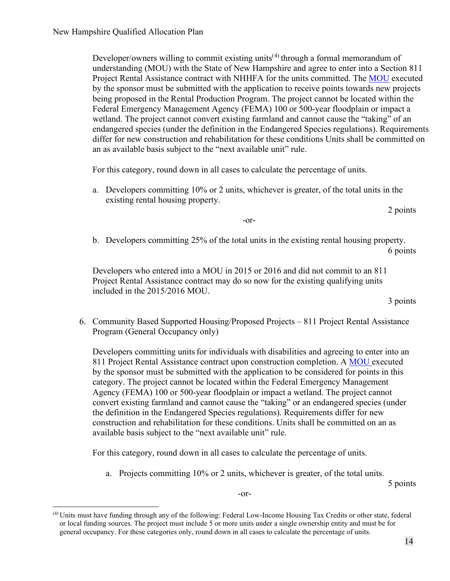Developer/owners willing to commit existing units<sup> $(4)$  $(4)$  $(4)$ </sup> through a formal memorandum of understanding (MOU) with the State of New Hampshire and agree to enter into a Section 811 Project Rental Assistance contract with NHHFA for the units committed. The [MOU](https://www.nhhfa.org/wp-content/uploads/2020/06/MOU-LIHTC.pdf) executed by the sponsor must be submitted with the application to receive points towards new projects being proposed in the Rental Production Program. The project cannot be located within the Federal Emergency Management Agency (FEMA) 100 or 500-year floodplain or impact a wetland. The project cannot convert existing farmland and cannot cause the "taking" of an endangered species (under the definition in the Endangered Species regulations). Requirements differ for new construction and rehabilitation for these conditions Units shall be committed on an as available basis subject to the "next available unit" rule.

For this category, round down in all cases to calculate the percentage of units.

a. Developers committing 10% or 2 units, whichever is greater, of the total units in the existing rental housing property.

2 points

-or-

b. Developers committing 25% of the total units in the existing rental housing property. 6 points

> Developers who entered into a MOU in 2015 or 2016 and did not commit to an 811 Project Rental Assistance contract may do so now for the existing qualifying units included in the 2015/2016 MOU.

3 points

6. Community Based Supported Housing/Proposed Projects – 811 Project Rental Assistance Program (General Occupancy only)

Developers committing units for individuals with disabilities and agreeing to enter into an 811 Project Rental Assistance contract upon construction completion. A [MOU](https://www.nhhfa.org/wp-content/uploads/2020/06/MOU-LIHTC.pdf) executed by the sponsor must be submitted with the application to be considered for points in this category. The project cannot be located within the Federal Emergency Management Agency (FEMA) 100 or 500-year floodplain or impact a wetland. The project cannot convert existing farmland and cannot cause the "taking" or an endangered species (under the definition in the Endangered Species regulations). Requirements differ for new construction and rehabilitation for these conditions. Units shall be committed on an as available basis subject to the "next available unit" rule.

For this category, round down in all cases to calculate the percentage of units.

-or-

a. Projects committing 10% or 2 units, whichever is greater, of the total units.

5 points

<span id="page-14-0"></span>(4) Units must have funding through any of the following: Federal Low-Income Housing Tax Credits or other state, federal or local funding sources. The project must include 5 or more units under a single ownership entity and must be for general occupancy. For these categories only, round down in all cases to calculate the percentage of units.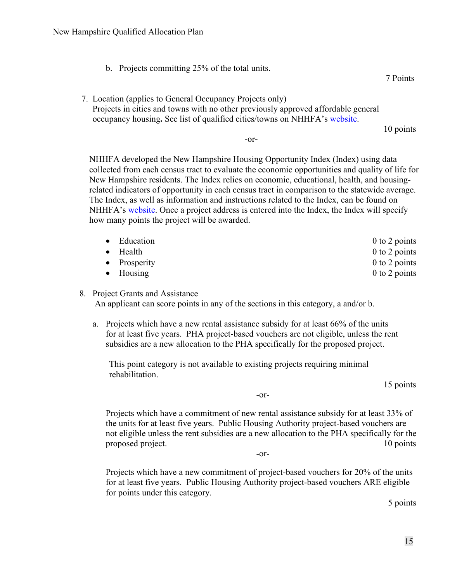b. Projects committing 25% of the total units.

7 Points

 7. Location (applies to General Occupancy Projects only) Projects in cities and towns with no other previously approved affordable general occupancy housing**.** See list of qualified cities/towns on NHHFA's [website.](https://www.nhhfa.org/developer-financing/low-income-housing-tax-credits-lihtc/)

10 points

-or-

NHHFA developed the New Hampshire Housing Opportunity Index (Index) using data collected from each census tract to evaluate the economic opportunities and quality of life for New Hampshire residents. The Index relies on economic, educational, health, and housingrelated indicators of opportunity in each census tract in comparison to the statewide average. The Index, as well as information and instructions related to the Index, can be found on NHHFA's [website.](https://www.nhhfa.org/developer-financing/low-income-housing-tax-credits-lihtc/) Once a project address is entered into the Index, the Index will specify how many points the project will be awarded.

| • Education<br>$\bullet$ Health | $0$ to 2 points<br>$0$ to 2 points |
|---------------------------------|------------------------------------|
| • Prosperity                    | $0$ to 2 points                    |
| $\bullet$ Housing               | $0$ to 2 points                    |

#### 8. Project Grants and Assistance

An applicant can score points in any of the sections in this category, a and/or b.

a. Projects which have a new rental assistance subsidy for at least 66% of the units for at least five years. PHA project-based vouchers are not eligible, unless the rent subsidies are a new allocation to the PHA specifically for the proposed project.

This point category is not available to existing projects requiring minimal rehabilitation.

15 points

-or-

Projects which have a commitment of new rental assistance subsidy for at least 33% of the units for at least five years. Public Housing Authority project-based vouchers are not eligible unless the rent subsidies are a new allocation to the PHA specifically for the proposed project. 10 points

-or-

Projects which have a new commitment of project-based vouchers for 20% of the units for at least five years. Public Housing Authority project-based vouchers ARE eligible for points under this category.

5 points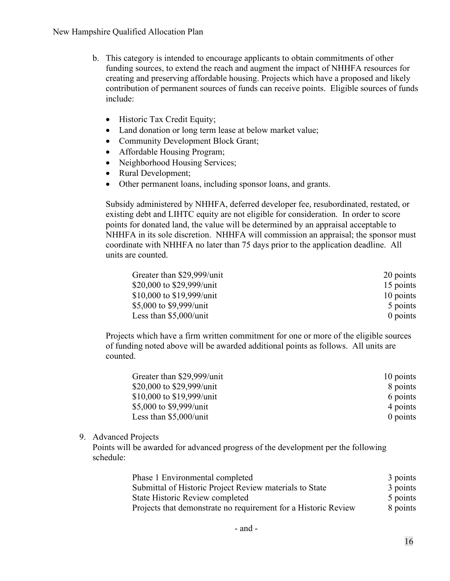- b. This category is intended to encourage applicants to obtain commitments of other funding sources, to extend the reach and augment the impact of NHHFA resources for creating and preserving affordable housing. Projects which have a proposed and likely contribution of permanent sources of funds can receive points. Eligible sources of funds include:
	- Historic Tax Credit Equity;
	- Land donation or long term lease at below market value;
	- Community Development Block Grant;
	- Affordable Housing Program;
	- Neighborhood Housing Services;
	- Rural Development;
	- Other permanent loans, including sponsor loans, and grants.

Subsidy administered by NHHFA, deferred developer fee, resubordinated, restated, or existing debt and LIHTC equity are not eligible for consideration. In order to score points for donated land, the value will be determined by an appraisal acceptable to NHHFA in its sole discretion. NHHFA will commission an appraisal; the sponsor must coordinate with NHHFA no later than 75 days prior to the application deadline.All units are counted.

| Greater than \$29,999/unit | 20 points  |
|----------------------------|------------|
| \$20,000 to \$29,999/unit  | 15 points  |
| \$10,000 to \$19,999/unit  | 10 points  |
| \$5,000 to \$9,999/unit    | 5 points   |
| Less than $$5,000$ /unit   | $0$ points |

Projects which have a firm written commitment for one or more of the eligible sources of funding noted above will be awarded additional points as follows. All units are counted.

| Greater than \$29,999/unit | 10 points  |
|----------------------------|------------|
| \$20,000 to \$29,999/unit  | 8 points   |
| \$10,000 to \$19,999/unit  | 6 points   |
| \$5,000 to \$9,999/unit    | 4 points   |
| Less than $$5,000$ /unit   | $0$ points |

#### 9. Advanced Projects

Points will be awarded for advanced progress of the development per the following schedule:

| Phase 1 Environmental completed                                | 3 points |
|----------------------------------------------------------------|----------|
| Submittal of Historic Project Review materials to State        | 3 points |
| State Historic Review completed                                | 5 points |
| Projects that demonstrate no requirement for a Historic Review | 8 points |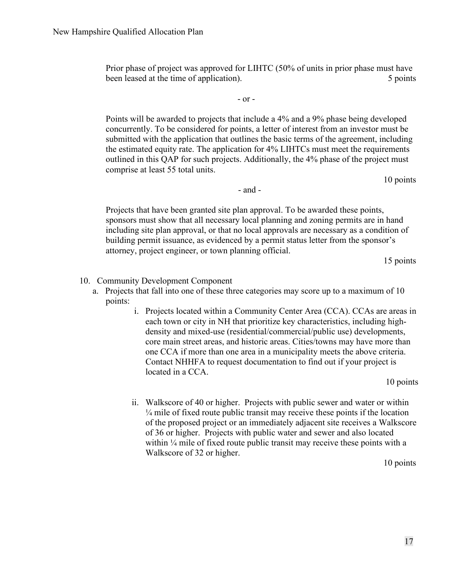Prior phase of project was approved for LIHTC (50% of units in prior phase must have been leased at the time of application). 5 points 5 points

- or -

Points will be awarded to projects that include a 4% and a 9% phase being developed concurrently. To be considered for points, a letter of interest from an investor must be submitted with the application that outlines the basic terms of the agreement, including the estimated equity rate. The application for 4% LIHTCs must meet the requirements outlined in this QAP for such projects. Additionally, the 4% phase of the project must comprise at least 55 total units.

10 points

- and -

Projects that have been granted site plan approval. To be awarded these points, sponsors must show that all necessary local planning and zoning permits are in hand including site plan approval, or that no local approvals are necessary as a condition of building permit issuance, as evidenced by a permit status letter from the sponsor's attorney, project engineer, or town planning official.

15 points

#### 10. Community Development Component

- a. Projects that fall into one of these three categories may score up to a maximum of 10 points:
	- i. Projects located within a Community Center Area (CCA). CCAs are areas in each town or city in NH that prioritize key characteristics, including highdensity and mixed-use (residential/commercial/public use) developments, core main street areas, and historic areas. Cities/towns may have more than one CCA if more than one area in a municipality meets the above criteria. Contact NHHFA to request documentation to find out if your project is located in a CCA.

10 points

ii. Walkscore of 40 or higher. Projects with public sewer and water or within  $\frac{1}{4}$  mile of fixed route public transit may receive these points if the location of the proposed project or an immediately adjacent site receives a Walkscore of 36 or higher. Projects with public water and sewer and also located within 1/4 mile of fixed route public transit may receive these points with a Walkscore of 32 or higher.

10 points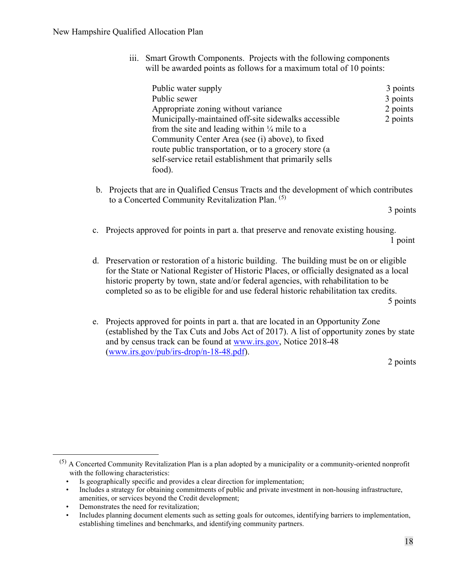iii. Smart Growth Components. Projects with the following components will be awarded points as follows for a maximum total of 10 points:

| Public water supply                                      | 3 points |
|----------------------------------------------------------|----------|
| Public sewer                                             | 3 points |
| Appropriate zoning without variance                      | 2 points |
| Municipally-maintained off-site sidewalks accessible     | 2 points |
| from the site and leading within $\frac{1}{4}$ mile to a |          |
| Community Center Area (see (i) above), to fixed          |          |
| route public transportation, or to a grocery store (a    |          |
| self-service retail establishment that primarily sells   |          |
| food).                                                   |          |

b. Projects that are in Qualified Census Tracts and the development of which contributes to a Concerted Community Revitalization Plan. ([5\)](#page-18-0)

3 points

- c. Projects approved for points in part a. that preserve and renovate existing housing. 1 point
- d. Preservation or restoration of a historic building. The building must be on or eligible for the State or National Register of Historic Places, or officially designated as a local historic property by town, state and/or federal agencies, with rehabilitation to be completed so as to be eligible for and use federal historic rehabilitation tax credits. 5 points

e. Projects approved for points in part a. that are located in an Opportunity Zone (established by the Tax Cuts and Jobs Act of 2017). A list of opportunity zones by state and by census track can be found at [www.irs.gov,](http://www.irs.gov/) Notice 2018-48 [\(www.irs.gov/pub/irs-drop/n-18-48.pdf\)](https://www.irs.gov/pub/irs-drop/n-18-48.pdf).

2 points

<span id="page-18-0"></span> $(5)$  A Concerted Community Revitalization Plan is a plan adopted by a municipality or a community-oriented nonprofit with the following characteristics:

Is geographically specific and provides a clear direction for implementation;

<sup>•</sup> Includes a strategy for obtaining commitments of public and private investment in non-housing infrastructure, amenities, or services beyond the Credit development;

Demonstrates the need for revitalization;

<sup>•</sup> Includes planning document elements such as setting goals for outcomes, identifying barriers to implementation, establishing timelines and benchmarks, and identifying community partners.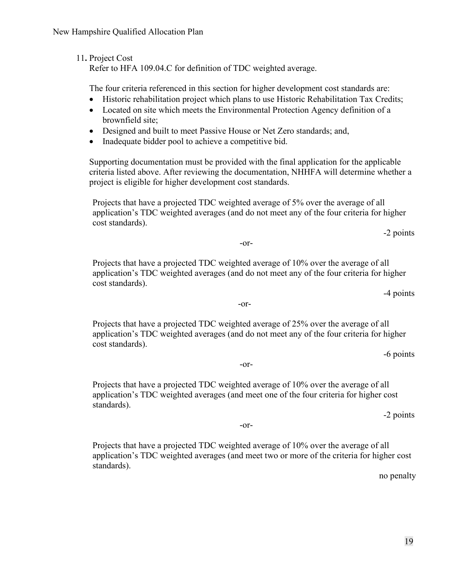Refer to HFA 109.04.C for definition of TDC weighted average.

The four criteria referenced in this section for higher development cost standards are:

- Historic rehabilitation project which plans to use Historic Rehabilitation Tax Credits;
- Located on site which meets the Environmental Protection Agency definition of a brownfield site;
- Designed and built to meet Passive House or Net Zero standards; and,
- Inadequate bidder pool to achieve a competitive bid.

Supporting documentation must be provided with the final application for the applicable criteria listed above. After reviewing the documentation, NHHFA will determine whether a project is eligible for higher development cost standards.

Projects that have a projected TDC weighted average of 5% over the average of all application's TDC weighted averages (and do not meet any of the four criteria for higher cost standards).

-2 points

-or-

Projects that have a projected TDC weighted average of 10% over the average of all application's TDC weighted averages (and do not meet any of the four criteria for higher cost standards).

-4 points

-or-

Projects that have a projected TDC weighted average of 25% over the average of all application's TDC weighted averages (and do not meet any of the four criteria for higher cost standards).

-6 points

-or-

Projects that have a projected TDC weighted average of 10% over the average of all application's TDC weighted averages (and meet one of the four criteria for higher cost standards).

-or-

-2 points

Projects that have a projected TDC weighted average of 10% over the average of all application's TDC weighted averages (and meet two or more of the criteria for higher cost standards).

no penalty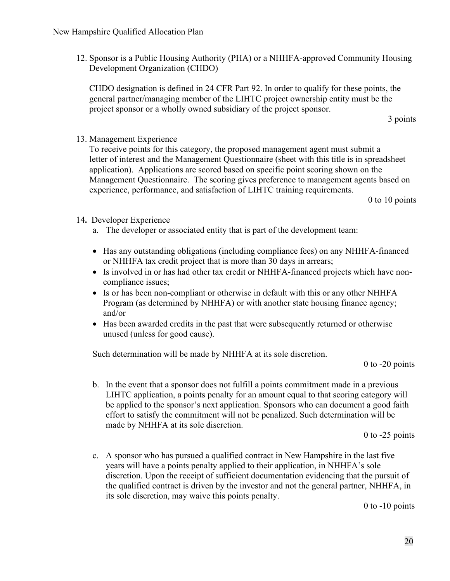12. Sponsor is a Public Housing Authority (PHA) or a NHHFA-approved Community Housing Development Organization (CHDO)

CHDO designation is defined in 24 CFR Part 92. In order to qualify for these points, the general partner/managing member of the LIHTC project ownership entity must be the project sponsor or a wholly owned subsidiary of the project sponsor.

3 points

13. Management Experience

To receive points for this category, the proposed management agent must submit a letter of interest and the Management Questionnaire (sheet with this title is in spreadsheet application). Applications are scored based on specific point scoring shown on the Management Questionnaire. The scoring gives preference to management agents based on experience, performance, and satisfaction of LIHTC training requirements.

0 to 10 points

- 14**.** Developer Experience
	- a. The developer or associated entity that is part of the development team:
	- Has any outstanding obligations (including compliance fees) on any NHHFA-financed or NHHFA tax credit project that is more than 30 days in arrears;
	- Is involved in or has had other tax credit or NHHFA-financed projects which have noncompliance issues;
	- Is or has been non-compliant or otherwise in default with this or any other NHHFA Program (as determined by NHHFA) or with another state housing finance agency; and/or
	- Has been awarded credits in the past that were subsequently returned or otherwise unused (unless for good cause).

Such determination will be made by NHHFA at its sole discretion.

0 to -20 points

b. In the event that a sponsor does not fulfill a points commitment made in a previous LIHTC application, a points penalty for an amount equal to that scoring category will be applied to the sponsor's next application. Sponsors who can document a good faith effort to satisfy the commitment will not be penalized. Such determination will be made by NHHFA at its sole discretion.

0 to -25 points

c. A sponsor who has pursued a qualified contract in New Hampshire in the last five years will have a points penalty applied to their application, in NHHFA's sole discretion. Upon the receipt of sufficient documentation evidencing that the pursuit of the qualified contract is driven by the investor and not the general partner, NHHFA, in its sole discretion, may waive this points penalty.

0 to -10 points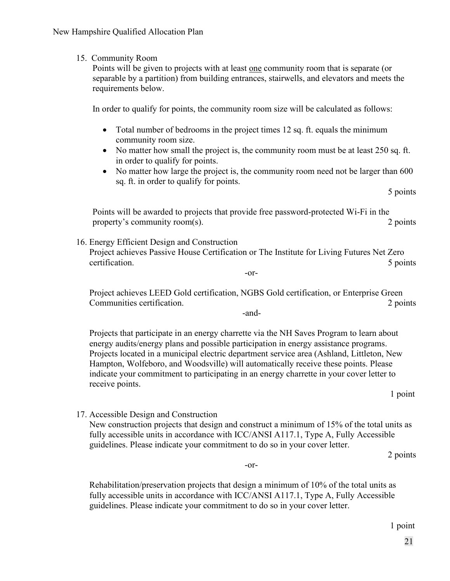#### 15. Community Room

Points will be given to projects with at least one community room that is separate (or separable by a partition) from building entrances, stairwells, and elevators and meets the requirements below.

In order to qualify for points, the community room size will be calculated as follows:

- Total number of bedrooms in the project times 12 sq. ft. equals the minimum community room size.
- No matter how small the project is, the community room must be at least 250 sq. ft. in order to qualify for points.
- No matter how large the project is, the community room need not be larger than 600 sq. ft. in order to qualify for points.

5 points

Points will be awarded to projects that provide free password-protected Wi-Fi in the property's community room(s). 2 points

16. Energy Efficient Design and Construction Project achieves Passive House Certification or The Institute for Living Futures Net Zero certification. 5 points

-or-

Project achieves LEED Gold certification, NGBS Gold certification, or Enterprise Green Communities certification. 2 points

-and-

Projects that participate in an energy charrette via the NH Saves Program to learn about energy audits/energy plans and possible participation in energy assistance programs. Projects located in a municipal electric department service area (Ashland, Littleton, New Hampton, Wolfeboro, and Woodsville) will automatically receive these points. Please indicate your commitment to participating in an energy charrette in your cover letter to receive points.

1 point

17. Accessible Design and Construction

New construction projects that design and construct a minimum of 15% of the total units as fully accessible units in accordance with ICC/ANSI A117.1, Type A, Fully Accessible guidelines. Please indicate your commitment to do so in your cover letter.

2 points

-or-

Rehabilitation/preservation projects that design a minimum of 10% of the total units as fully accessible units in accordance with ICC/ANSI A117.1, Type A, Fully Accessible guidelines. Please indicate your commitment to do so in your cover letter.

1 point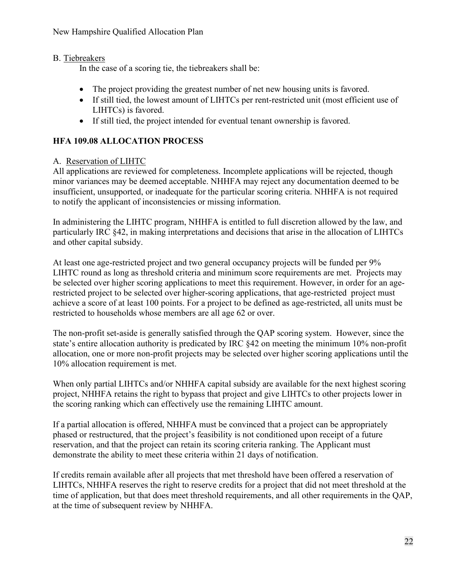# B. Tiebreakers

In the case of a scoring tie, the tiebreakers shall be:

- The project providing the greatest number of net new housing units is favored.
- If still tied, the lowest amount of LIHTCs per rent-restricted unit (most efficient use of LIHTCs) is favored.
- If still tied, the project intended for eventual tenant ownership is favored.

# **HFA 109.08 ALLOCATION PROCESS**

# A. Reservation of LIHTC

All applications are reviewed for completeness. Incomplete applications will be rejected, though minor variances may be deemed acceptable. NHHFA may reject any documentation deemed to be insufficient, unsupported, or inadequate for the particular scoring criteria. NHHFA is not required to notify the applicant of inconsistencies or missing information.

In administering the LIHTC program, NHHFA is entitled to full discretion allowed by the law, and particularly IRC §42, in making interpretations and decisions that arise in the allocation of LIHTCs and other capital subsidy.

At least one age-restricted project and two general occupancy projects will be funded per 9% LIHTC round as long as threshold criteria and minimum score requirements are met. Projects may be selected over higher scoring applications to meet this requirement. However, in order for an agerestricted project to be selected over higher-scoring applications, that age-restricted project must achieve a score of at least 100 points. For a project to be defined as age-restricted, all units must be restricted to households whose members are all age 62 or over.

The non-profit set-aside is generally satisfied through the QAP scoring system. However, since the state's entire allocation authority is predicated by IRC §42 on meeting the minimum 10% non-profit allocation, one or more non-profit projects may be selected over higher scoring applications until the 10% allocation requirement is met.

When only partial LIHTCs and/or NHHFA capital subsidy are available for the next highest scoring project, NHHFA retains the right to bypass that project and give LIHTCs to other projects lower in the scoring ranking which can effectively use the remaining LIHTC amount.

If a partial allocation is offered, NHHFA must be convinced that a project can be appropriately phased or restructured, that the project's feasibility is not conditioned upon receipt of a future reservation, and that the project can retain its scoring criteria ranking. The Applicant must demonstrate the ability to meet these criteria within 21 days of notification.

If credits remain available after all projects that met threshold have been offered a reservation of LIHTCs, NHHFA reserves the right to reserve credits for a project that did not meet threshold at the time of application, but that does meet threshold requirements, and all other requirements in the QAP, at the time of subsequent review by NHHFA.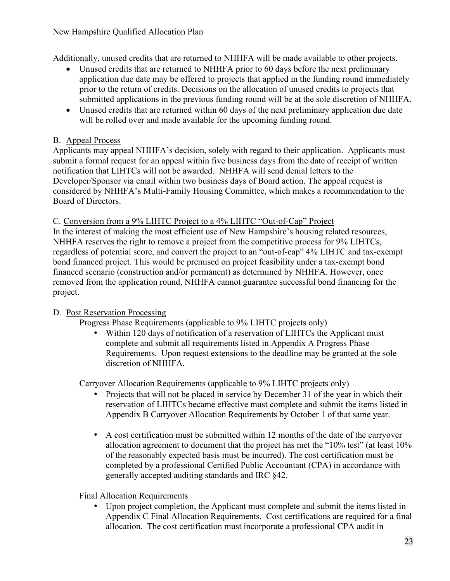#### New Hampshire Qualified Allocation Plan

Additionally, unused credits that are returned to NHHFA will be made available to other projects.

- Unused credits that are returned to NHHFA prior to 60 days before the next preliminary application due date may be offered to projects that applied in the funding round immediately prior to the return of credits. Decisions on the allocation of unused credits to projects that submitted applications in the previous funding round will be at the sole discretion of NHHFA.
- Unused credits that are returned within 60 days of the next preliminary application due date will be rolled over and made available for the upcoming funding round.

# B. Appeal Process

Applicants may appeal NHHFA's decision, solely with regard to their application. Applicants must submit a formal request for an appeal within five business days from the date of receipt of written notification that LIHTCs will not be awarded. NHHFA will send denial letters to the Developer/Sponsor via email within two business days of Board action. The appeal request is considered by NHHFA's Multi-Family Housing Committee, which makes a recommendation to the Board of Directors.

C. Conversion from a 9% LIHTC Project to a 4% LIHTC "Out-of-Cap" Project

In the interest of making the most efficient use of New Hampshire's housing related resources, NHHFA reserves the right to remove a project from the competitive process for 9% LIHTCs, regardless of potential score, and convert the project to an "out-of-cap" 4% LIHTC and tax-exempt bond financed project. This would be premised on project feasibility under a tax-exempt bond financed scenario (construction and/or permanent) as determined by NHHFA. However, once removed from the application round, NHHFA cannot guarantee successful bond financing for the project.

# D. Post Reservation Processing

Progress Phase Requirements (applicable to 9% LIHTC projects only)

• Within 120 days of notification of a reservation of LIHTCs the Applicant must complete and submit all requirements listed in Appendix A Progress Phase Requirements. Upon request extensions to the deadline may be granted at the sole discretion of NHHFA.

Carryover Allocation Requirements (applicable to 9% LIHTC projects only)

- Projects that will not be placed in service by December 31 of the year in which their reservation of LIHTCs became effective must complete and submit the items listed in Appendix B Carryover Allocation Requirements by October 1 of that same year.
- A cost certification must be submitted within 12 months of the date of the carryover allocation agreement to document that the project has met the "10% test" (at least 10% of the reasonably expected basis must be incurred). The cost certification must be completed by a professional Certified Public Accountant (CPA) in accordance with generally accepted auditing standards and IRC §42.

Final Allocation Requirements

• Upon project completion, the Applicant must complete and submit the items listed in Appendix C Final Allocation Requirements. Cost certifications are required for a final allocation. The cost certification must incorporate a professional CPA audit in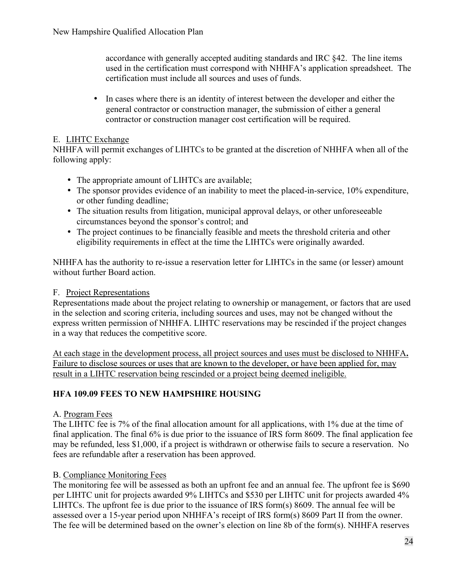accordance with generally accepted auditing standards and IRC §42. The line items used in the certification must correspond with NHHFA's application spreadsheet. The certification must include all sources and uses of funds.

• In cases where there is an identity of interest between the developer and either the general contractor or construction manager, the submission of either a general contractor or construction manager cost certification will be required.

# E. LIHTC Exchange

NHHFA will permit exchanges of LIHTCs to be granted at the discretion of NHHFA when all of the following apply:

- The appropriate amount of LIHTCs are available;
- The sponsor provides evidence of an inability to meet the placed-in-service, 10% expenditure, or other funding deadline;
- The situation results from litigation, municipal approval delays, or other unforeseeable circumstances beyond the sponsor's control; and
- The project continues to be financially feasible and meets the threshold criteria and other eligibility requirements in effect at the time the LIHTCs were originally awarded.

NHHFA has the authority to re-issue a reservation letter for LIHTCs in the same (or lesser) amount without further Board action.

# F. Project Representations

Representations made about the project relating to ownership or management, or factors that are used in the selection and scoring criteria, including sources and uses, may not be changed without the express written permission of NHHFA. LIHTC reservations may be rescinded if the project changes in a way that reduces the competitive score.

At each stage in the development process, all project sources and uses must be disclosed to NHHFA**.**  Failure to disclose sources or uses that are known to the developer, or have been applied for, may result in a LIHTC reservation being rescinded or a project being deemed ineligible.

# **HFA 109.09 FEES TO NEW HAMPSHIRE HOUSING**

# A. Program Fees

The LIHTC fee is 7% of the final allocation amount for all applications, with 1% due at the time of final application. The final 6% is due prior to the issuance of IRS form 8609. The final application fee may be refunded, less \$1,000, if a project is withdrawn or otherwise fails to secure a reservation. No fees are refundable after a reservation has been approved.

# B. Compliance Monitoring Fees

The monitoring fee will be assessed as both an upfront fee and an annual fee. The upfront fee is \$690 per LIHTC unit for projects awarded 9% LIHTCs and \$530 per LIHTC unit for projects awarded 4% LIHTCs. The upfront fee is due prior to the issuance of IRS form(s) 8609. The annual fee will be assessed over a 15-year period upon NHHFA's receipt of IRS form(s) 8609 Part II from the owner. The fee will be determined based on the owner's election on line 8b of the form(s). NHHFA reserves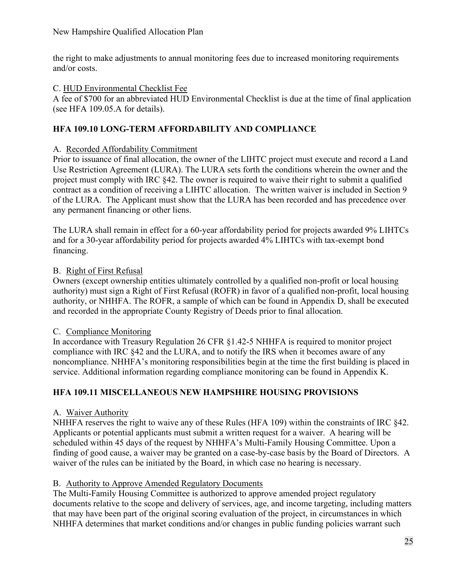the right to make adjustments to annual monitoring fees due to increased monitoring requirements and/or costs.

#### C. HUD Environmental Checklist Fee

A fee of \$700 for an abbreviated HUD Environmental Checklist is due at the time of final application (see HFA 109.05.A for details).

# **HFA 109.10 LONG-TERM AFFORDABILITY AND COMPLIANCE**

#### A. Recorded Affordability Commitment

Prior to issuance of final allocation, the owner of the LIHTC project must execute and record a Land Use Restriction Agreement (LURA). The LURA sets forth the conditions wherein the owner and the project must comply with IRC §42. The owner is required to waive their right to submit a qualified contract as a condition of receiving a LIHTC allocation. The written waiver is included in Section 9 of the LURA. The Applicant must show that the LURA has been recorded and has precedence over any permanent financing or other liens.

The LURA shall remain in effect for a 60-year affordability period for projects awarded 9% LIHTCs and for a 30-year affordability period for projects awarded 4% LIHTCs with tax-exempt bond financing.

#### B. Right of First Refusal

Owners (except ownership entities ultimately controlled by a qualified non-profit or local housing authority) must sign a Right of First Refusal (ROFR) in favor of a qualified non-profit, local housing authority, or NHHFA. The ROFR, a sample of which can be found in Appendix D, shall be executed and recorded in the appropriate County Registry of Deeds prior to final allocation.

#### C. Compliance Monitoring

In accordance with Treasury Regulation 26 CFR §1.42-5 NHHFA is required to monitor project compliance with IRC §42 and the LURA, and to notify the IRS when it becomes aware of any noncompliance. NHHFA's monitoring responsibilities begin at the time the first building is placed in service. Additional information regarding compliance monitoring can be found in Appendix K.

# **HFA 109.11 MISCELLANEOUS NEW HAMPSHIRE HOUSING PROVISIONS**

#### A. Waiver Authority

NHHFA reserves the right to waive any of these Rules (HFA 109) within the constraints of IRC §42. Applicants or potential applicants must submit a written request for a waiver. A hearing will be scheduled within 45 days of the request by NHHFA's Multi-Family Housing Committee. Upon a finding of good cause, a waiver may be granted on a case-by-case basis by the Board of Directors. A waiver of the rules can be initiated by the Board, in which case no hearing is necessary.

#### B. Authority to Approve Amended Regulatory Documents

The Multi-Family Housing Committee is authorized to approve amended project regulatory documents relative to the scope and delivery of services, age, and income targeting, including matters that may have been part of the original scoring evaluation of the project, in circumstances in which NHHFA determines that market conditions and/or changes in public funding policies warrant such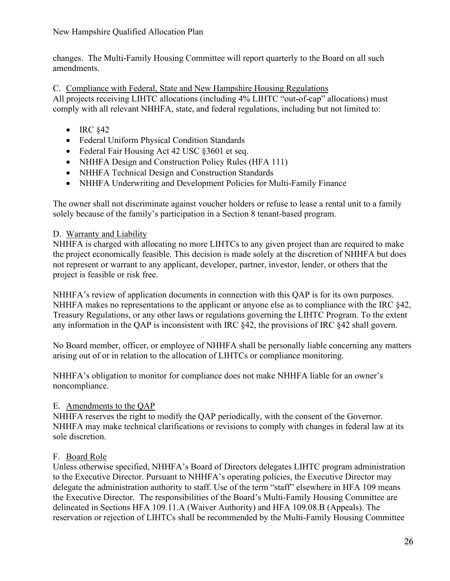changes. The Multi-Family Housing Committee will report quarterly to the Board on all such amendments.

C. Compliance with Federal, State and New Hampshire Housing Regulations All projects receiving LIHTC allocations (including 4% LIHTC "out-of-cap" allocations) must comply with all relevant NHHFA, state, and federal regulations, including but not limited to:

- IRC  $§42$
- Federal Uniform Physical Condition Standards
- Federal Fair Housing Act 42 USC §3601 et seq.
- NHHFA Design and Construction Policy Rules (HFA 111)
- NHHFA Technical Design and Construction Standards
- NHHFA Underwriting and Development Policies for Multi-Family Finance

The owner shall not discriminate against voucher holders or refuse to lease a rental unit to a family solely because of the family's participation in a Section 8 tenant-based program.

# D. Warranty and Liability

NHHFA is charged with allocating no more LIHTCs to any given project than are required to make the project economically feasible. This decision is made solely at the discretion of NHHFA but does not represent or warrant to any applicant, developer, partner, investor, lender, or others that the project is feasible or risk free.

NHHFA's review of application documents in connection with this QAP is for its own purposes. NHHFA makes no representations to the applicant or anyone else as to compliance with the IRC §42, Treasury Regulations, or any other laws or regulations governing the LIHTC Program. To the extent any information in the QAP is inconsistent with IRC §42, the provisions of IRC §42 shall govern.

No Board member, officer, or employee of NHHFA shall be personally liable concerning any matters arising out of or in relation to the allocation of LIHTCs or compliance monitoring.

NHHFA's obligation to monitor for compliance does not make NHHFA liable for an owner's noncompliance.

# E. Amendments to the QAP

NHHFA reserves the right to modify the QAP periodically, with the consent of the Governor. NHHFA may make technical clarifications or revisions to comply with changes in federal law at its sole discretion.

# F. Board Role

Unless otherwise specified, NHHFA's Board of Directors delegates LIHTC program administration to the Executive Director. Pursuant to NHHFA's operating policies, the Executive Director may delegate the administration authority to staff. Use of the term "staff" elsewhere in HFA 109 means the Executive Director. The responsibilities of the Board's Multi-Family Housing Committee are delineated in Sections HFA 109.11.A (Waiver Authority) and HFA 109.08.B (Appeals). The reservation or rejection of LIHTCs shall be recommended by the Multi-Family Housing Committee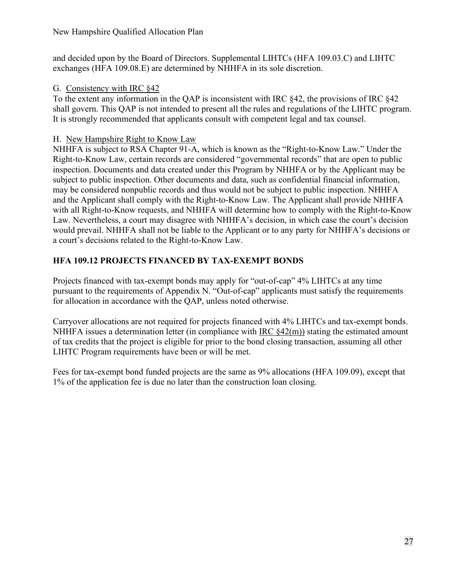and decided upon by the Board of Directors. Supplemental LIHTCs (HFA 109.03.C) and LIHTC exchanges (HFA 109.08.E) are determined by NHHFA in its sole discretion.

# G. Consistency with IRC §42

To the extent any information in the QAP is inconsistent with IRC §42, the provisions of IRC §42 shall govern. This QAP is not intended to present all the rules and regulations of the LIHTC program. It is strongly recommended that applicants consult with competent legal and tax counsel.

# H. New Hampshire Right to Know Law

NHHFA is subject to RSA Chapter 91-A, which is known as the "Right-to-Know Law." Under the Right-to-Know Law, certain records are considered "governmental records" that are open to public inspection. Documents and data created under this Program by NHHFA or by the Applicant may be subject to public inspection. Other documents and data, such as confidential financial information, may be considered nonpublic records and thus would not be subject to public inspection. NHHFA and the Applicant shall comply with the Right-to-Know Law. The Applicant shall provide NHHFA with all Right-to-Know requests, and NHHFA will determine how to comply with the Right-to-Know Law. Nevertheless, a court may disagree with NHHFA's decision, in which case the court's decision would prevail. NHHFA shall not be liable to the Applicant or to any party for NHHFA's decisions or a court's decisions related to the Right-to-Know Law.

# **HFA 109.12 PROJECTS FINANCED BY TAX-EXEMPT BONDS**

Projects financed with tax-exempt bonds may apply for "out-of-cap" 4% LIHTCs at any time pursuant to the requirements of Appendix N. "Out-of-cap" applicants must satisfy the requirements for allocation in accordance with the QAP, unless noted otherwise.

Carryover allocations are not required for projects financed with 4% LIHTCs and tax-exempt bonds. NHHFA issues a determination letter (in compliance with IRC  $\S 42(m)$ ) stating the estimated amount of tax credits that the project is eligible for prior to the bond closing transaction, assuming all other LIHTC Program requirements have been or will be met.

Fees for tax-exempt bond funded projects are the same as 9% allocations (HFA 109.09), except that 1% of the application fee is due no later than the construction loan closing.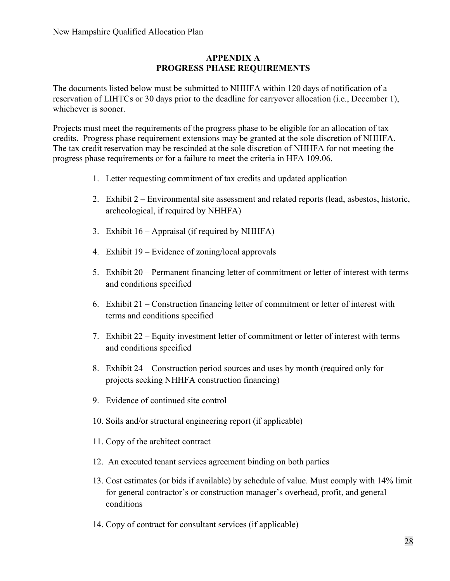#### **APPENDIX A PROGRESS PHASE REQUIREMENTS**

The documents listed below must be submitted to NHHFA within 120 days of notification of a reservation of LIHTCs or 30 days prior to the deadline for carryover allocation (i.e., December 1), whichever is sooner.

Projects must meet the requirements of the progress phase to be eligible for an allocation of tax credits. Progress phase requirement extensions may be granted at the sole discretion of NHHFA. The tax credit reservation may be rescinded at the sole discretion of NHHFA for not meeting the progress phase requirements or for a failure to meet the criteria in HFA 109.06.

- 1. Letter requesting commitment of tax credits and updated application
- 2. Exhibit 2 Environmental site assessment and related reports (lead, asbestos, historic, archeological, if required by NHHFA)
- 3. Exhibit 16 Appraisal (if required by NHHFA)
- 4. Exhibit 19 Evidence of zoning/local approvals
- 5. Exhibit 20 Permanent financing letter of commitment or letter of interest with terms and conditions specified
- 6. Exhibit 21 Construction financing letter of commitment or letter of interest with terms and conditions specified
- 7. Exhibit 22 Equity investment letter of commitment or letter of interest with terms and conditions specified
- 8. Exhibit 24 Construction period sources and uses by month (required only for projects seeking NHHFA construction financing)
- 9. Evidence of continued site control
- 10. Soils and/or structural engineering report (if applicable)
- 11. Copy of the architect contract
- 12. An executed tenant services agreement binding on both parties
- 13. Cost estimates (or bids if available) by schedule of value. Must comply with 14% limit for general contractor's or construction manager's overhead, profit, and general conditions
- 14. Copy of contract for consultant services (if applicable)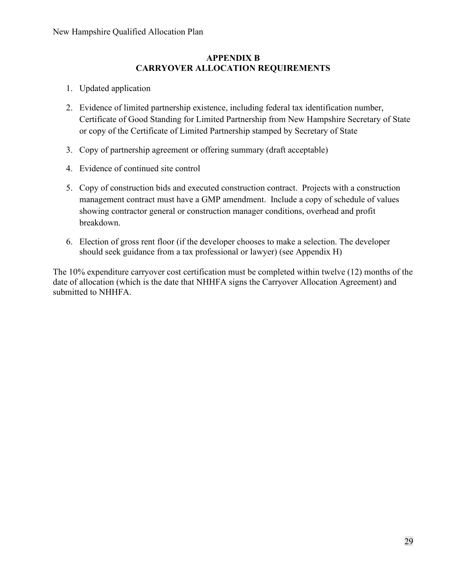#### **APPENDIX B CARRYOVER ALLOCATION REQUIREMENTS**

- 1. Updated application
- 2. Evidence of limited partnership existence, including federal tax identification number, Certificate of Good Standing for Limited Partnership from New Hampshire Secretary of State or copy of the Certificate of Limited Partnership stamped by Secretary of State
- 3. Copy of partnership agreement or offering summary (draft acceptable)
- 4. Evidence of continued site control
- 5. Copy of construction bids and executed construction contract. Projects with a construction management contract must have a GMP amendment. Include a copy of schedule of values showing contractor general or construction manager conditions, overhead and profit breakdown.
- 6. Election of gross rent floor (if the developer chooses to make a selection. The developer should seek guidance from a tax professional or lawyer) (see Appendix H)

The 10% expenditure carryover cost certification must be completed within twelve (12) months of the date of allocation (which is the date that NHHFA signs the Carryover Allocation Agreement) and submitted to NHHFA.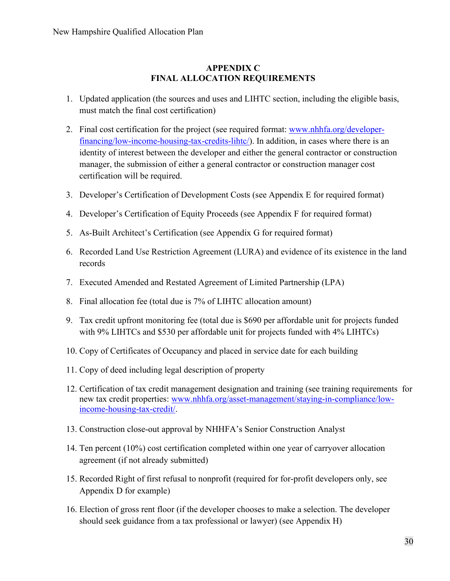#### **APPENDIX C FINAL ALLOCATION REQUIREMENTS**

- 1. Updated application (the sources and uses and LIHTC section, including the eligible basis, must match the final cost certification)
- 2. Final cost certification for the project (see required format: [www.nhhfa.org/developer](http://www.nhhfa.org/developer-financing/low-income-housing-tax-credits-lihtc/)[financing/low-income-housing-tax-credits-lihtc/\)](http://www.nhhfa.org/developer-financing/low-income-housing-tax-credits-lihtc/). In addition, in cases where there is an identity of interest between the developer and either the general contractor or construction manager, the submission of either a general contractor or construction manager cost certification will be required.
- 3. Developer's Certification of Development Costs (see Appendix E for required format)
- 4. Developer's Certification of Equity Proceeds (see Appendix F for required format)
- 5. As-Built Architect's Certification (see Appendix G for required format)
- 6. Recorded Land Use Restriction Agreement (LURA) and evidence of its existence in the land records
- 7. Executed Amended and Restated Agreement of Limited Partnership (LPA)
- 8. Final allocation fee (total due is 7% of LIHTC allocation amount)
- 9. Tax credit upfront monitoring fee (total due is \$690 per affordable unit for projects funded with 9% LIHTCs and \$530 per affordable unit for projects funded with 4% LIHTCs)
- 10. Copy of Certificates of Occupancy and placed in service date for each building
- 11. Copy of deed including legal description of property
- 12. Certification of tax credit management designation and training (see training requirements for new tax credit properties: [www.nhhfa.org/asset-management/staying-in-compliance/low](https://www.nhhfa.org/asset-management/staying-in-compliance/low-income-housing-tax-credit/)[income-housing-tax-credit/.](https://www.nhhfa.org/asset-management/staying-in-compliance/low-income-housing-tax-credit/)
- 13. Construction close-out approval by NHHFA's Senior Construction Analyst
- 14. Ten percent (10%) cost certification completed within one year of carryover allocation agreement (if not already submitted)
- 15. Recorded Right of first refusal to nonprofit (required for for-profit developers only, see Appendix D for example)
- 16. Election of gross rent floor (if the developer chooses to make a selection. The developer should seek guidance from a tax professional or lawyer) (see Appendix H)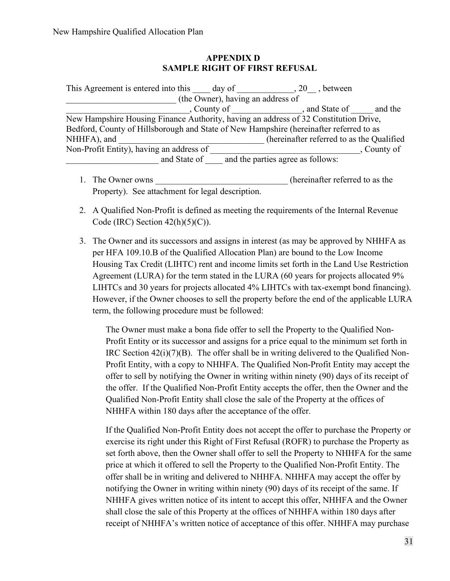#### **APPENDIX D SAMPLE RIGHT OF FIRST REFUSAL**

| This Agreement is entered into this                                                    | day of                            | $, 20$ , between                          |             |
|----------------------------------------------------------------------------------------|-----------------------------------|-------------------------------------------|-------------|
|                                                                                        | (the Owner), having an address of |                                           |             |
|                                                                                        | , County of                       | , and State of                            | and the     |
| New Hampshire Housing Finance Authority, having an address of 32 Constitution Drive,   |                                   |                                           |             |
| Bedford, County of Hillsborough and State of New Hampshire (hereinafter referred to as |                                   |                                           |             |
| NHHFA), and                                                                            |                                   | (hereinafter referred to as the Qualified |             |
| Non-Profit Entity), having an address of                                               |                                   |                                           | , County of |
| and State of                                                                           |                                   | and the parties agree as follows:         |             |

- 1. The Owner owns the compact of the own step of the own step of the compact of the compact of the compact of the compact of the compact of the compact of the compact of the compact of the compact of the compact of the com Property). See attachment for legal description.
- 2. A Qualified Non-Profit is defined as meeting the requirements of the Internal Revenue Code (IRC) Section  $42(h)(5)(C)$ ).
- 3. The Owner and its successors and assigns in interest (as may be approved by NHHFA as per HFA 109.10.B of the Qualified Allocation Plan) are bound to the Low Income Housing Tax Credit (LIHTC) rent and income limits set forth in the Land Use Restriction Agreement (LURA) for the term stated in the LURA (60 years for projects allocated 9% LIHTCs and 30 years for projects allocated 4% LIHTCs with tax-exempt bond financing). However, if the Owner chooses to sell the property before the end of the applicable LURA term, the following procedure must be followed:

The Owner must make a bona fide offer to sell the Property to the Qualified Non-Profit Entity or its successor and assigns for a price equal to the minimum set forth in IRC Section  $42(i)(7)(B)$ . The offer shall be in writing delivered to the Qualified Non-Profit Entity, with a copy to NHHFA. The Qualified Non-Profit Entity may accept the offer to sell by notifying the Owner in writing within ninety (90) days of its receipt of the offer. If the Qualified Non-Profit Entity accepts the offer, then the Owner and the Qualified Non-Profit Entity shall close the sale of the Property at the offices of NHHFA within 180 days after the acceptance of the offer.

If the Qualified Non-Profit Entity does not accept the offer to purchase the Property or exercise its right under this Right of First Refusal (ROFR) to purchase the Property as set forth above, then the Owner shall offer to sell the Property to NHHFA for the same price at which it offered to sell the Property to the Qualified Non-Profit Entity. The offer shall be in writing and delivered to NHHFA. NHHFA may accept the offer by notifying the Owner in writing within ninety (90) days of its receipt of the same. If NHHFA gives written notice of its intent to accept this offer, NHHFA and the Owner shall close the sale of this Property at the offices of NHHFA within 180 days after receipt of NHHFA's written notice of acceptance of this offer. NHHFA may purchase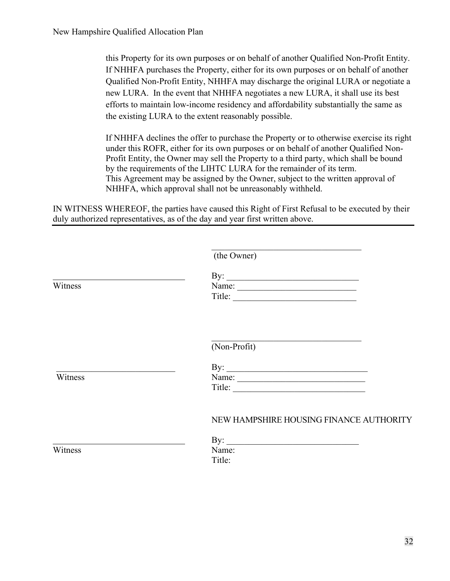this Property for its own purposes or on behalf of another Qualified Non-Profit Entity. If NHHFA purchases the Property, either for its own purposes or on behalf of another Qualified Non-Profit Entity, NHHFA may discharge the original LURA or negotiate a new LURA. In the event that NHHFA negotiates a new LURA, it shall use its best efforts to maintain low-income residency and affordability substantially the same as the existing LURA to the extent reasonably possible.

If NHHFA declines the offer to purchase the Property or to otherwise exercise its right under this ROFR, either for its own purposes or on behalf of another Qualified Non-Profit Entity, the Owner may sell the Property to a third party, which shall be bound by the requirements of the LIHTC LURA for the remainder of its term. This Agreement may be assigned by the Owner, subject to the written approval of NHHFA, which approval shall not be unreasonably withheld.

IN WITNESS WHEREOF, the parties have caused this Right of First Refusal to be executed by their duly authorized representatives, as of the day and year first written above.

|         | (the Owner)                                                                                                             |
|---------|-------------------------------------------------------------------------------------------------------------------------|
|         | By: $\qquad \qquad$                                                                                                     |
| Witness | Name: $\frac{1}{\sqrt{1-\frac{1}{2}}\sqrt{1-\frac{1}{2}}\sqrt{1-\frac{1}{2}}\sqrt{1-\frac{1}{2}}\sqrt{1-\frac{1}{2}}}}$ |
|         |                                                                                                                         |
|         | (Non-Profit)                                                                                                            |
|         |                                                                                                                         |
| Witness | Title:                                                                                                                  |
|         | NEW HAMPSHIRE HOUSING FINANCE AUTHORITY                                                                                 |
|         | By: $\qquad \qquad$                                                                                                     |
| Witness | Name:<br>Title:                                                                                                         |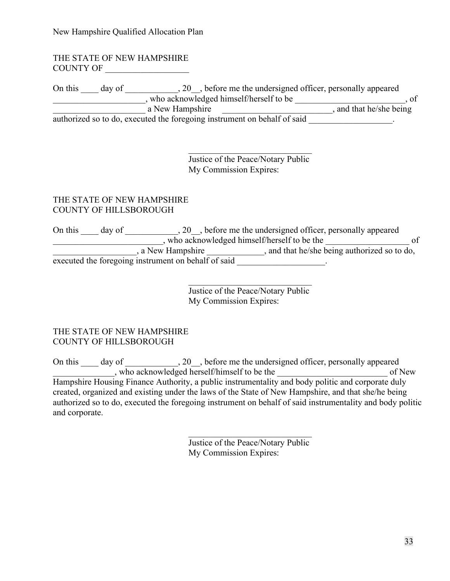New Hampshire Qualified Allocation Plan

#### THE STATE OF NEW HAMPSHIRE COUNTY OF

On this \_\_\_\_ day of \_\_\_\_\_\_\_\_\_\_\_, 20\_\_, before me the undersigned officer, personally appeared denotes the set of the set of the set of the set of the set of the set of the set of the set of the set of the set of the set of the set of the set of the set of the set of the set of the set of the set of the set of the s a New Hampshire \_\_\_\_\_\_\_\_\_\_\_\_\_\_\_\_\_\_\_\_\_\_\_\_\_\_\_\_\_\_\_\_\_\_, and that he/she being authorized so to do, executed the foregoing instrument on behalf of said

> Justice of the Peace/Notary Public My Commission Expires:

\_\_\_\_\_\_\_\_\_\_\_\_\_\_\_\_\_\_\_\_\_\_\_\_\_\_\_\_

#### THE STATE OF NEW HAMPSHIRE COUNTY OF HILLSBOROUGH

On this \_\_\_\_ day of \_\_\_\_\_\_\_\_\_\_\_, 20\_\_, before me the undersigned officer, personally appeared exterior who acknowledged himself/herself to be the \_\_\_\_\_\_\_\_\_\_\_\_\_\_\_\_\_\_\_\_\_ of a New Hampshire \_\_\_\_\_\_\_\_\_\_\_\_, and that he/she being authorized so to do, executed the foregoing instrument on behalf of said \_\_\_\_\_\_\_\_\_\_\_\_\_\_\_\_\_\_\_.

> Justice of the Peace/Notary Public My Commission Expires:

#### THE STATE OF NEW HAMPSHIRE COUNTY OF HILLSBOROUGH

On this \_\_\_\_ day of \_\_\_\_\_\_\_\_\_\_, 20\_, before me the undersigned officer, personally appeared \_\_\_\_\_\_\_\_\_\_\_\_\_\_, who acknowledged herself/himself to be the \_\_\_\_\_\_\_\_\_\_\_\_\_\_\_\_\_\_\_\_\_\_\_\_\_ of New Hampshire Housing Finance Authority, a public instrumentality and body politic and corporate duly created, organized and existing under the laws of the State of New Hampshire, and that she/he being authorized so to do, executed the foregoing instrument on behalf of said instrumentality and body politic and corporate.

> Justice of the Peace/Notary Public My Commission Expires: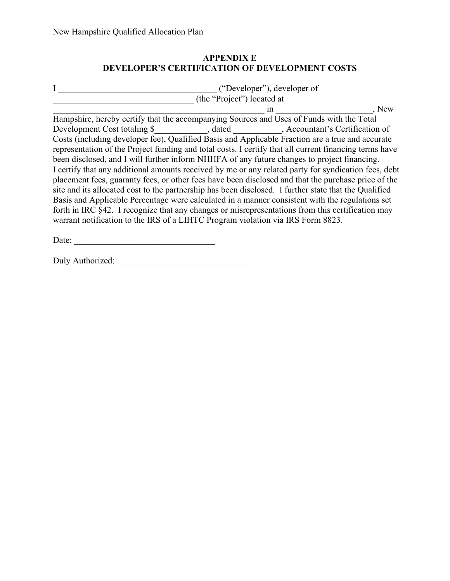# **APPENDIX E DEVELOPER'S CERTIFICATION OF DEVELOPMENT COSTS**

|                                                                                                        | ("Developer"), developer of |    |       |
|--------------------------------------------------------------------------------------------------------|-----------------------------|----|-------|
|                                                                                                        | (the "Project") located at  |    |       |
|                                                                                                        |                             | in | . New |
| Hampshire, hereby certify that the accompanying Sources and Uses of Funds with the Total               |                             |    |       |
| Development Cost totaling \$______________, dated __________, Accountant's Certification of            |                             |    |       |
| Costs (including developer fee), Qualified Basis and Applicable Fraction are a true and accurate       |                             |    |       |
| representation of the Project funding and total costs. I certify that all current financing terms have |                             |    |       |
| been disclosed, and I will further inform NHHFA of any future changes to project financing.            |                             |    |       |
| I certify that any additional amounts received by me or any related party for syndication fees, debt   |                             |    |       |
| placement fees, guaranty fees, or other fees have been disclosed and that the purchase price of the    |                             |    |       |
| site and its allocated cost to the partnership has been disclosed. I further state that the Qualified  |                             |    |       |
| Basis and Applicable Percentage were calculated in a manner consistent with the regulations set        |                             |    |       |
| forth in IRC §42. I recognize that any changes or misrepresentations from this certification may       |                             |    |       |
| warrant notification to the IRS of a LIHTC Program violation via IRS Form 8823.                        |                             |    |       |
|                                                                                                        |                             |    |       |

Date: \_\_\_\_\_\_\_\_\_\_\_\_\_\_\_\_\_\_\_\_\_\_\_\_\_\_\_\_\_\_\_\_

Duly Authorized: \_\_\_\_\_\_\_\_\_\_\_\_\_\_\_\_\_\_\_\_\_\_\_\_\_\_\_\_\_\_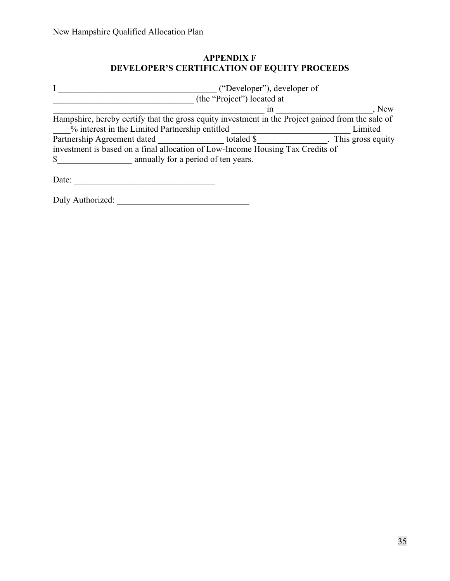# **APPENDIX F DEVELOPER'S CERTIFICATION OF EQUITY PROCEEDS**

|                                                | ("Developer"), developer of                                                                       |                     |
|------------------------------------------------|---------------------------------------------------------------------------------------------------|---------------------|
|                                                | (the "Project") located at                                                                        |                     |
|                                                | 1n                                                                                                | , New               |
|                                                | Hampshire, hereby certify that the gross equity investment in the Project gained from the sale of |                     |
| % interest in the Limited Partnership entitled |                                                                                                   | Limited             |
| Partnership Agreement dated                    | totaled \$                                                                                        | . This gross equity |
|                                                | investment is based on a final allocation of Low-Income Housing Tax Credits of                    |                     |
| $\mathbb{S}$                                   | annually for a period of ten years.                                                               |                     |
| Date:                                          |                                                                                                   |                     |

Duly Authorized: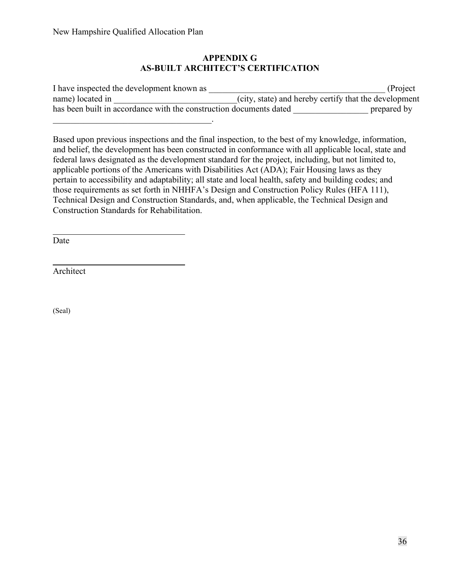#### **APPENDIX G AS-BUILT ARCHITECT'S CERTIFICATION**

| I have inspected the development known as                          | (Project)                                             |
|--------------------------------------------------------------------|-------------------------------------------------------|
| name) located in                                                   | (city, state) and hereby certify that the development |
| has been built in accordance with the construction documents dated | prepared by                                           |
|                                                                    |                                                       |

Based upon previous inspections and the final inspection, to the best of my knowledge, information, and belief, the development has been constructed in conformance with all applicable local, state and federal laws designated as the development standard for the project, including, but not limited to, applicable portions of the Americans with Disabilities Act (ADA); Fair Housing laws as they pertain to accessibility and adaptability; all state and local health, safety and building codes; and those requirements as set forth in NHHFA's Design and Construction Policy Rules (HFA 111), Technical Design and Construction Standards, and, when applicable, the Technical Design and Construction Standards for Rehabilitation.

Date

 $\overline{a}$ 

 $\overline{a}$ 

Architect

(Seal)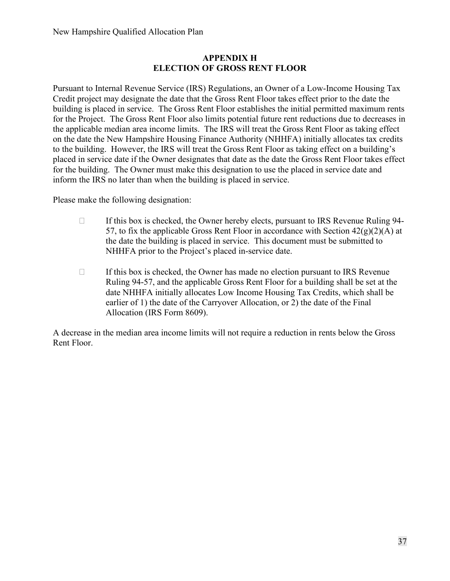#### **APPENDIX H ELECTION OF GROSS RENT FLOOR**

Pursuant to Internal Revenue Service (IRS) Regulations, an Owner of a Low-Income Housing Tax Credit project may designate the date that the Gross Rent Floor takes effect prior to the date the building is placed in service. The Gross Rent Floor establishes the initial permitted maximum rents for the Project. The Gross Rent Floor also limits potential future rent reductions due to decreases in the applicable median area income limits. The IRS will treat the Gross Rent Floor as taking effect on the date the New Hampshire Housing Finance Authority (NHHFA) initially allocates tax credits to the building. However, the IRS will treat the Gross Rent Floor as taking effect on a building's placed in service date if the Owner designates that date as the date the Gross Rent Floor takes effect for the building. The Owner must make this designation to use the placed in service date and inform the IRS no later than when the building is placed in service.

Please make the following designation:

- $\Box$  If this box is checked, the Owner hereby elects, pursuant to IRS Revenue Ruling 94-57, to fix the applicable Gross Rent Floor in accordance with Section  $42(g)(2)(A)$  at the date the building is placed in service. This document must be submitted to NHHFA prior to the Project's placed in-service date.
- $\Box$  If this box is checked, the Owner has made no election pursuant to IRS Revenue Ruling 94-57, and the applicable Gross Rent Floor for a building shall be set at the date NHHFA initially allocates Low Income Housing Tax Credits, which shall be earlier of 1) the date of the Carryover Allocation, or 2) the date of the Final Allocation (IRS Form 8609).

A decrease in the median area income limits will not require a reduction in rents below the Gross Rent Floor.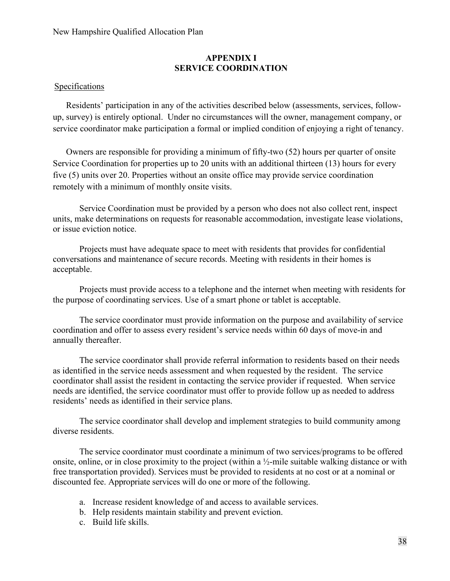#### New Hampshire Qualified Allocation Plan

#### **APPENDIX I SERVICE COORDINATION**

#### Specifications

 Residents' participation in any of the activities described below (assessments, services, followup, survey) is entirely optional. Under no circumstances will the owner, management company, or service coordinator make participation a formal or implied condition of enjoying a right of tenancy.

Owners are responsible for providing a minimum of fifty-two (52) hours per quarter of onsite Service Coordination for properties up to 20 units with an additional thirteen (13) hours for every five (5) units over 20. Properties without an onsite office may provide service coordination remotely with a minimum of monthly onsite visits.

Service Coordination must be provided by a person who does not also collect rent, inspect units, make determinations on requests for reasonable accommodation, investigate lease violations, or issue eviction notice.

Projects must have adequate space to meet with residents that provides for confidential conversations and maintenance of secure records. Meeting with residents in their homes is acceptable.

Projects must provide access to a telephone and the internet when meeting with residents for the purpose of coordinating services. Use of a smart phone or tablet is acceptable.

The service coordinator must provide information on the purpose and availability of service coordination and offer to assess every resident's service needs within 60 days of move-in and annually thereafter.

The service coordinator shall provide referral information to residents based on their needs as identified in the service needs assessment and when requested by the resident. The service coordinator shall assist the resident in contacting the service provider if requested. When service needs are identified, the service coordinator must offer to provide follow up as needed to address residents' needs as identified in their service plans.

The service coordinator shall develop and implement strategies to build community among diverse residents.

The service coordinator must coordinate a minimum of two services/programs to be offered onsite, online, or in close proximity to the project (within a ½-mile suitable walking distance or with free transportation provided). Services must be provided to residents at no cost or at a nominal or discounted fee. Appropriate services will do one or more of the following.

- a. Increase resident knowledge of and access to available services.
- b. Help residents maintain stability and prevent eviction.
- c. Build life skills.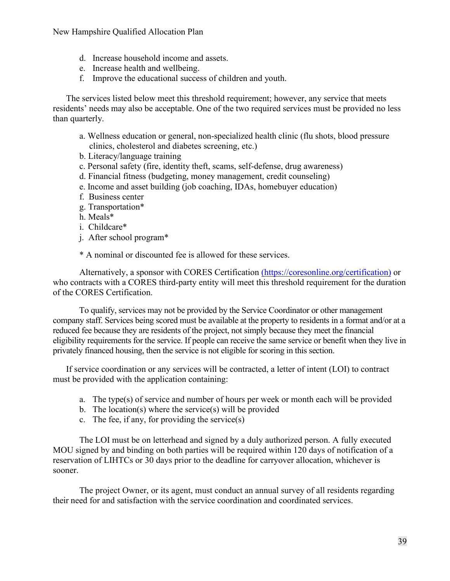New Hampshire Qualified Allocation Plan

- d. Increase household income and assets.
- e. Increase health and wellbeing.
- f. Improve the educational success of children and youth.

The services listed below meet this threshold requirement; however, any service that meets residents' needs may also be acceptable. One of the two required services must be provided no less than quarterly.

- a. Wellness education or general, non-specialized health clinic (flu shots, blood pressure clinics, cholesterol and diabetes screening, etc.)
- b. Literacy/language training
- c. Personal safety (fire, identity theft, scams, self-defense, drug awareness)
- d. Financial fitness (budgeting, money management, credit counseling)
- e. Income and asset building (job coaching, IDAs, homebuyer education)
- f. Business center
- g. Transportation\*
- h. Meals\*
- i. Childcare\*
- j. After school program\*

\* A nominal or discounted fee is allowed for these services.

Alternatively, a sponsor with CORES Certification [\(https://coresonline.org/certification\)](https://coresonline.org/certification) or who contracts with a CORES third-party entity will meet this threshold requirement for the duration of the CORES Certification.

To qualify, services may not be provided by the Service Coordinator or other management company staff. Services being scored must be available at the property to residents in a format and/or at a reduced fee because they are residents of the project, not simply because they meet the financial eligibility requirements for the service. If people can receive the same service or benefit when they live in privately financed housing, then the service is not eligible for scoring in this section.

If service coordination or any services will be contracted, a letter of intent (LOI) to contract must be provided with the application containing:

- a. The type(s) of service and number of hours per week or month each will be provided
- b. The location(s) where the service(s) will be provided
- c. The fee, if any, for providing the service(s)

The LOI must be on letterhead and signed by a duly authorized person. A fully executed MOU signed by and binding on both parties will be required within 120 days of notification of a reservation of LIHTCs or 30 days prior to the deadline for carryover allocation, whichever is sooner.

The project Owner, or its agent, must conduct an annual survey of all residents regarding their need for and satisfaction with the service coordination and coordinated services.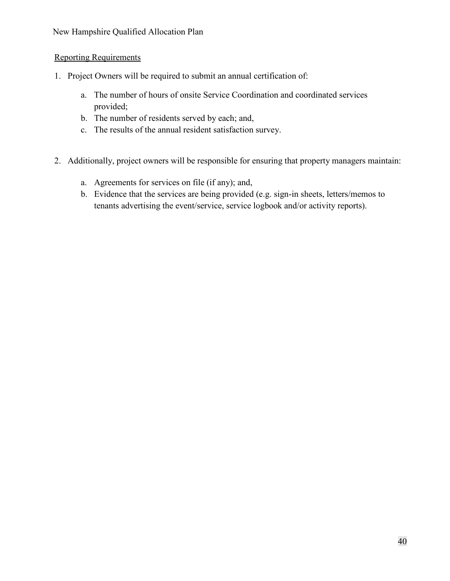# Reporting Requirements

- 1. Project Owners will be required to submit an annual certification of:
	- a. The number of hours of onsite Service Coordination and coordinated services provided;
	- b. The number of residents served by each; and,
	- c. The results of the annual resident satisfaction survey.
- 2. Additionally, project owners will be responsible for ensuring that property managers maintain:
	- a. Agreements for services on file (if any); and,
	- b. Evidence that the services are being provided (e.g. sign-in sheets, letters/memos to tenants advertising the event/service, service logbook and/or activity reports).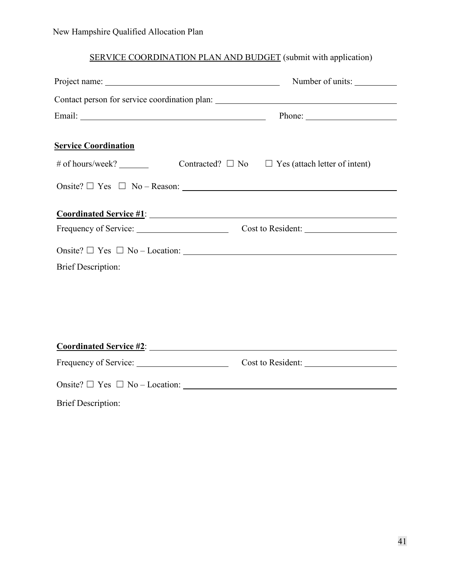# SERVICE COORDINATION PLAN AND BUDGET (submit with application)

|                                                 | Number of units:                                                                  |  |
|-------------------------------------------------|-----------------------------------------------------------------------------------|--|
|                                                 | Contact person for service coordination plan: ___________________________________ |  |
|                                                 |                                                                                   |  |
| <b>Service Coordination</b><br># of hours/week? | Contracted? $\Box$ No $\Box$ Yes (attach letter of intent)                        |  |
|                                                 |                                                                                   |  |
|                                                 |                                                                                   |  |
| <b>Brief Description:</b>                       | Onsite? $\Box$ Yes $\Box$ No - Location:                                          |  |
|                                                 |                                                                                   |  |
|                                                 |                                                                                   |  |
|                                                 | Cost to Resident:                                                                 |  |
|                                                 |                                                                                   |  |

Brief Description: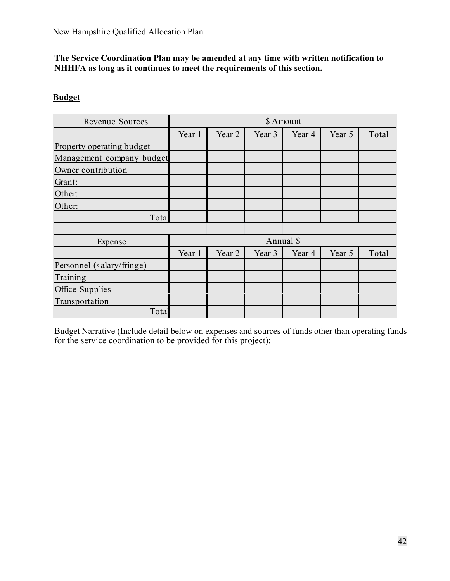## **The Service Coordination Plan may be amended at any time with written notification to NHHFA as long as it continues to meet the requirements of this section.**

# **Budget**

| Revenue Sources           | \$ Amount |        |        |        |        |       |
|---------------------------|-----------|--------|--------|--------|--------|-------|
|                           | Year 1    | Year 2 | Year 3 | Year 4 | Year 5 | Total |
| Property operating budget |           |        |        |        |        |       |
| Management company budget |           |        |        |        |        |       |
| Owner contribution        |           |        |        |        |        |       |
| Grant:                    |           |        |        |        |        |       |
| Other:                    |           |        |        |        |        |       |
| Other:                    |           |        |        |        |        |       |
| Total                     |           |        |        |        |        |       |
|                           |           |        |        |        |        |       |
| Expense                   | Annual \$ |        |        |        |        |       |
|                           | Year 1    | Year 2 | Year 3 | Year 4 | Year 5 | Total |
| Personnel (salary/fringe) |           |        |        |        |        |       |
| Training                  |           |        |        |        |        |       |
| Office Supplies           |           |        |        |        |        |       |
| Transportation            |           |        |        |        |        |       |
| Total                     |           |        |        |        |        |       |

Budget Narrative (Include detail below on expenses and sources of funds other than operating funds for the service coordination to be provided for this project):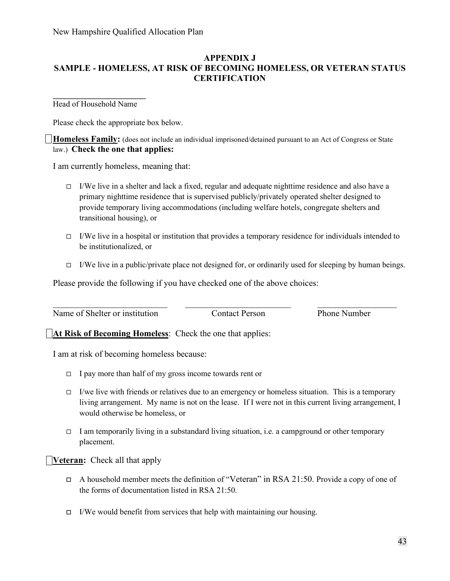# **APPENDIX J SAMPLE - HOMELESS, AT RISK OF BECOMING HOMELESS, OR VETERAN STATUS CERTIFICATION**

**\_\_\_\_\_\_\_\_\_\_\_\_\_\_\_\_\_\_\_\_\_\_\_**  Head of Household Name

Please check the appropriate box below.

**Homeless Family:** (does not include an individual imprisoned/detained pursuant to an Act of Congress or State law.) **Check the one that applies:**

I am currently homeless, meaning that:

- $\Box$  I/We live in a shelter and lack a fixed, regular and adequate nighttime residence and also have a primary nighttime residence that is supervised publicly/privately operated shelter designed to provide temporary living accommodations (including welfare hotels, congregate shelters and transitional housing), or
- $\Box$  I/We live in a hospital or institution that provides a temporary residence for individuals intended to be institutionalized, or
- $\Box$  I/We live in a public/private place not designed for, or ordinarily used for sleeping by human beings.

Please provide the following if you have checked one of the above choices:

 $\_$  ,  $\_$  ,  $\_$  ,  $\_$  ,  $\_$  ,  $\_$  ,  $\_$  ,  $\_$  ,  $\_$  ,  $\_$  ,  $\_$  ,  $\_$  ,  $\_$  ,  $\_$  ,  $\_$  ,  $\_$  ,  $\_$  ,  $\_$  ,  $\_$  ,  $\_$ Name of Shelter or institution Contact Person Phone Number

**At Risk of Becoming Homeless:** Check the one that applies:

I am at risk of becoming homeless because:

- $\Box$  I pay more than half of my gross income towards rent or
- $\Box$  I/we live with friends or relatives due to an emergency or homeless situation. This is a temporary living arrangement. My name is not on the lease. If I were not in this current living arrangement, I would otherwise be homeless, or
- I am temporarily living in a substandard living situation, i.e. a campground or other temporary placement.

**Veteran:** Check all that apply

- $\Box$  A household member meets the definition of "Veteran" in RSA 21:50. Provide a copy of one of the forms of documentation listed in RSA 21:50.
- $\Box$  I/We would benefit from services that help with maintaining our housing.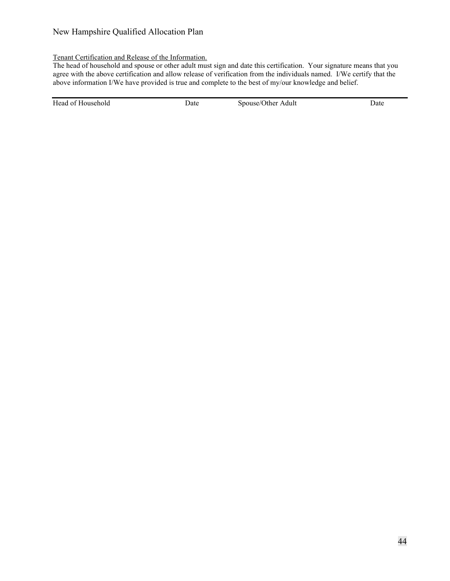#### New Hampshire Qualified Allocation Plan

#### Tenant Certification and Release of the Information.

The head of household and spouse or other adult must sign and date this certification. Your signature means that you agree with the above certification and allow release of verification from the individuals named. I/We certify that the above information I/We have provided is true and complete to the best of my/our knowledge and belief.

Head of Household Date Date Spouse/Other Adult Date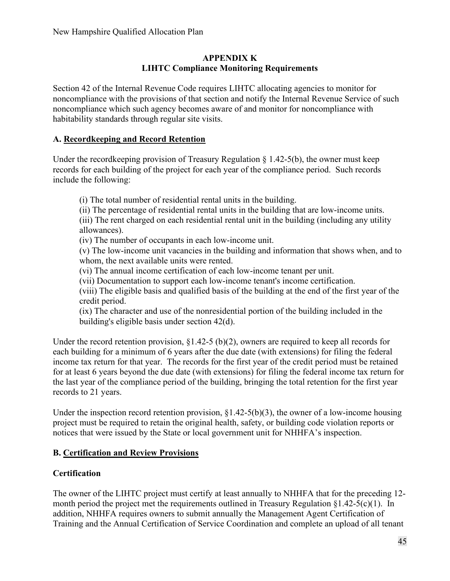## **APPENDIX K LIHTC Compliance Monitoring Requirements**

Section 42 of the Internal Revenue Code requires LIHTC allocating agencies to monitor for noncompliance with the provisions of that section and notify the Internal Revenue Service of such noncompliance which such agency becomes aware of and monitor for noncompliance with habitability standards through regular site visits.

# **A. Recordkeeping and Record Retention**

Under the record keeping provision of Treasury Regulation  $\S 1.42-5(b)$ , the owner must keep records for each building of the project for each year of the compliance period. Such records include the following:

(i) The total number of residential rental units in the building.

(ii) The percentage of residential rental units in the building that are low-income units. (iii) The rent charged on each residential rental unit in the building (including any utility

allowances).

(iv) The number of occupants in each low-income unit.

(v) The low-income unit vacancies in the building and information that shows when, and to whom, the next available units were rented.

(vi) The annual income certification of each low-income tenant per unit.

(vii) Documentation to support each low-income tenant's income certification.

(viii) The eligible basis and qualified basis of the building at the end of the first year of the credit period.

(ix) The character and use of the nonresidential portion of the building included in the building's eligible basis under section 42(d).

Under the record retention provision,  $\S1.42-5$  (b)(2), owners are required to keep all records for each building for a minimum of 6 years after the due date (with extensions) for filing the federal income tax return for that year. The records for the first year of the credit period must be retained for at least 6 years beyond the due date (with extensions) for filing the federal income tax return for the last year of the compliance period of the building, bringing the total retention for the first year records to 21 years.

Under the inspection record retention provision,  $\S1.42-5(b)(3)$ , the owner of a low-income housing project must be required to retain the original health, safety, or building code violation reports or notices that were issued by the State or local government unit for NHHFA's inspection.

# **B. Certification and Review Provisions**

# **Certification**

The owner of the LIHTC project must certify at least annually to NHHFA that for the preceding 12 month period the project met the requirements outlined in Treasury Regulation  $\S1.42-5(c)(1)$ . In addition, NHHFA requires owners to submit annually the Management Agent Certification of Training and the Annual Certification of Service Coordination and complete an upload of all tenant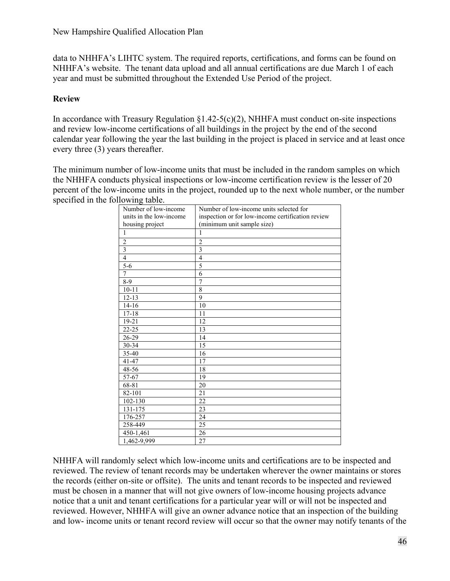data to NHHFA's LIHTC system. The required reports, certifications, and forms can be found on NHHFA's website. The tenant data upload and all annual certifications are due March 1 of each year and must be submitted throughout the Extended Use Period of the project.

# **Review**

In accordance with Treasury Regulation  $\S1.42-5(c)(2)$ , NHHFA must conduct on-site inspections and review low-income certifications of all buildings in the project by the end of the second calendar year following the year the last building in the project is placed in service and at least once every three (3) years thereafter.

The minimum number of low-income units that must be included in the random samples on which the NHHFA conducts physical inspections or low-income certification review is the lesser of 20 percent of the low-income units in the project, rounded up to the next whole number, or the number specified in the following table.

| Number of low-income    | Number of low-income units selected for           |
|-------------------------|---------------------------------------------------|
| units in the low-income | inspection or for low-income certification review |
| housing project         | (minimum unit sample size)                        |
| 1                       | 1                                                 |
| $\overline{c}$          | $\overline{2}$                                    |
| $\overline{3}$          | 3                                                 |
| $\overline{4}$          | $\overline{4}$                                    |
| $\overline{5-6}$        | 5                                                 |
| $\overline{7}$          | 6                                                 |
| $8-9$                   | 7                                                 |
| $10 - 11$               | 8                                                 |
| $12 - 13$               | 9                                                 |
| $14-16$                 | 10                                                |
| $17 - 18$               | 11                                                |
| 19-21                   | 12                                                |
| $22 - 25$               | 13                                                |
| $26-29$                 | 14                                                |
| 30-34                   | 15                                                |
| 35-40                   | 16                                                |
| $41 - 47$               | 17                                                |
| 48-56                   | 18                                                |
| 57-67                   | 19                                                |
| 68-81                   | 20                                                |
| 82-101                  | 21                                                |
| 102-130                 | 22                                                |
| 131-175                 | 23                                                |
| 176-257                 | 24                                                |
| 258-449                 | 25                                                |
| 450-1,461               | 26                                                |
| 1,462-9,999             | 27                                                |

NHHFA will randomly select which low-income units and certifications are to be inspected and reviewed. The review of tenant records may be undertaken wherever the owner maintains or stores the records (either on-site or offsite). The units and tenant records to be inspected and reviewed must be chosen in a manner that will not give owners of low-income housing projects advance notice that a unit and tenant certifications for a particular year will or will not be inspected and reviewed. However, NHHFA will give an owner advance notice that an inspection of the building and low- income units or tenant record review will occur so that the owner may notify tenants of the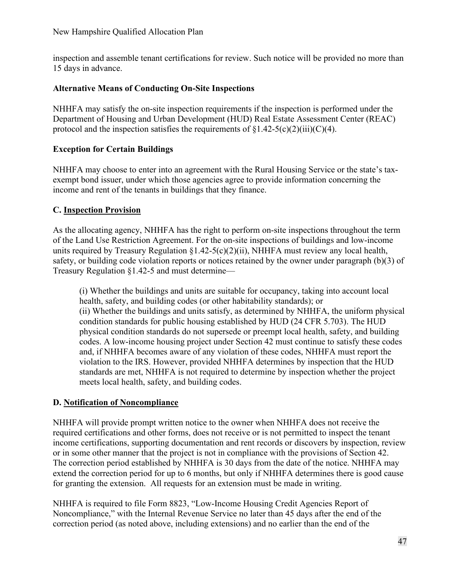inspection and assemble tenant certifications for review. Such notice will be provided no more than 15 days in advance.

# **Alternative Means of Conducting On-Site Inspections**

NHHFA may satisfy the on-site inspection requirements if the inspection is performed under the Department of Housing and Urban Development (HUD) Real Estate Assessment Center (REAC) protocol and the inspection satisfies the requirements of  $\S1.42-5(c)(2)(iii)(C)(4)$ .

# **Exception for Certain Buildings**

NHHFA may choose to enter into an agreement with the Rural Housing Service or the state's taxexempt bond issuer, under which those agencies agree to provide information concerning the income and rent of the tenants in buildings that they finance.

# **C. Inspection Provision**

As the allocating agency, NHHFA has the right to perform on-site inspections throughout the term of the Land Use Restriction Agreement. For the on-site inspections of buildings and low-income units required by Treasury Regulation  $\S1.42-5(c)(2)(ii)$ , NHHFA must review any local health, safety, or building code violation reports or notices retained by the owner under paragraph (b)(3) of Treasury Regulation §1.42-5 and must determine—

(i) Whether the buildings and units are suitable for occupancy, taking into account local health, safety, and building codes (or other habitability standards); or (ii) Whether the buildings and units satisfy, as determined by NHHFA, the uniform physical condition standards for public housing established by HUD (24 CFR 5.703). The HUD physical condition standards do not supersede or preempt local health, safety, and building codes. A low-income housing project under Section 42 must continue to satisfy these codes and, if NHHFA becomes aware of any violation of these codes, NHHFA must report the violation to the IRS. However, provided NHHFA determines by inspection that the HUD standards are met, NHHFA is not required to determine by inspection whether the project meets local health, safety, and building codes.

# **D. Notification of Noncompliance**

NHHFA will provide prompt written notice to the owner when NHHFA does not receive the required certifications and other forms, does not receive or is not permitted to inspect the tenant income certifications, supporting documentation and rent records or discovers by inspection, review or in some other manner that the project is not in compliance with the provisions of Section 42. The correction period established by NHHFA is 30 days from the date of the notice. NHHFA may extend the correction period for up to 6 months, but only if NHHFA determines there is good cause for granting the extension. All requests for an extension must be made in writing.

NHHFA is required to file Form 8823, "Low-Income Housing Credit Agencies Report of Noncompliance," with the Internal Revenue Service no later than 45 days after the end of the correction period (as noted above, including extensions) and no earlier than the end of the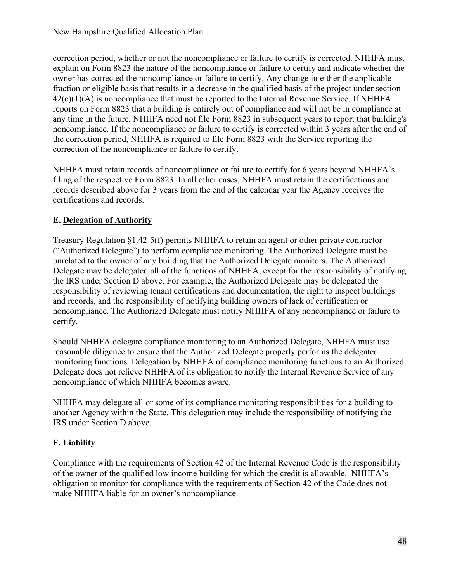correction period, whether or not the noncompliance or failure to certify is corrected. NHHFA must explain on Form 8823 the nature of the noncompliance or failure to certify and indicate whether the owner has corrected the noncompliance or failure to certify. Any change in either the applicable fraction or eligible basis that results in a decrease in the qualified basis of the project under section  $42(c)(1)(A)$  is noncompliance that must be reported to the Internal Revenue Service. If NHHFA reports on Form 8823 that a building is entirely out of compliance and will not be in compliance at any time in the future, NHHFA need not file Form 8823 in subsequent years to report that building's noncompliance. If the noncompliance or failure to certify is corrected within 3 years after the end of the correction period, NHHFA is required to file Form 8823 with the Service reporting the correction of the noncompliance or failure to certify.

NHHFA must retain records of noncompliance or failure to certify for 6 years beyond NHHFA's filing of the respective Form 8823. In all other cases, NHHFA must retain the certifications and records described above for 3 years from the end of the calendar year the Agency receives the certifications and records.

# **E. Delegation of Authority**

Treasury Regulation §1.42-5(f) permits NHHFA to retain an agent or other private contractor ("Authorized Delegate") to perform compliance monitoring. The Authorized Delegate must be unrelated to the owner of any building that the Authorized Delegate monitors. The Authorized Delegate may be delegated all of the functions of NHHFA, except for the responsibility of notifying the IRS under Section D above. For example, the Authorized Delegate may be delegated the responsibility of reviewing tenant certifications and documentation, the right to inspect buildings and records, and the responsibility of notifying building owners of lack of certification or noncompliance. The Authorized Delegate must notify NHHFA of any noncompliance or failure to certify.

Should NHHFA delegate compliance monitoring to an Authorized Delegate, NHHFA must use reasonable diligence to ensure that the Authorized Delegate properly performs the delegated monitoring functions. Delegation by NHHFA of compliance monitoring functions to an Authorized Delegate does not relieve NHHFA of its obligation to notify the Internal Revenue Service of any noncompliance of which NHHFA becomes aware.

NHHFA may delegate all or some of its compliance monitoring responsibilities for a building to another Agency within the State. This delegation may include the responsibility of notifying the IRS under Section D above.

# **F. Liability**

Compliance with the requirements of Section 42 of the Internal Revenue Code is the responsibility of the owner of the qualified low income building for which the credit is allowable. NHHFA's obligation to monitor for compliance with the requirements of Section 42 of the Code does not make NHHFA liable for an owner's noncompliance.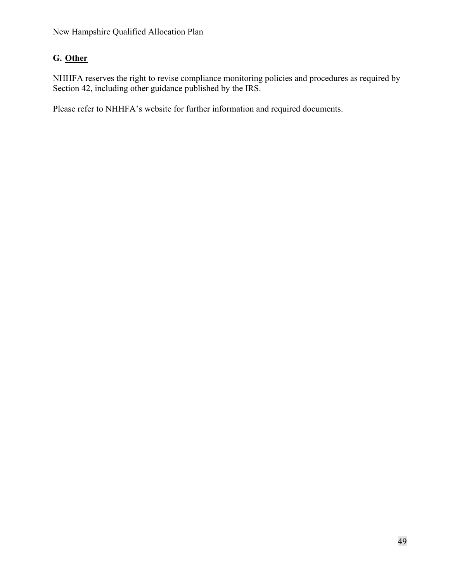# **G. Other**

NHHFA reserves the right to revise compliance monitoring policies and procedures as required by Section 42, including other guidance published by the IRS.

Please refer to NHHFA's website for further information and required documents.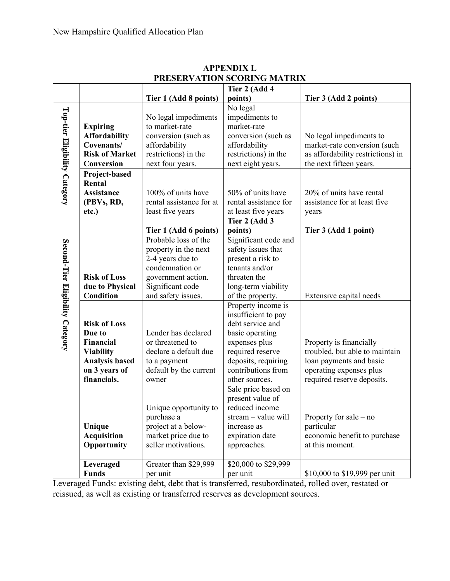|                                  |                                                                                                                         |                                                                                                                                                     | Tier 2 (Add 4                                                                                                                                                                        |                                                                                                                                               |
|----------------------------------|-------------------------------------------------------------------------------------------------------------------------|-----------------------------------------------------------------------------------------------------------------------------------------------------|--------------------------------------------------------------------------------------------------------------------------------------------------------------------------------------|-----------------------------------------------------------------------------------------------------------------------------------------------|
|                                  |                                                                                                                         | Tier 1 (Add 8 points)                                                                                                                               | points)                                                                                                                                                                              | Tier 3 (Add 2 points)                                                                                                                         |
| Top-tier Eligibility Category    | <b>Expiring</b><br><b>Affordability</b><br>Covenants/<br><b>Risk of Market</b><br>Conversion                            | No legal impediments<br>to market-rate<br>conversion (such as<br>affordability<br>restrictions) in the<br>next four years.                          | No legal<br>impediments to<br>market-rate<br>conversion (such as<br>affordability<br>restrictions) in the<br>next eight years.                                                       | No legal impediments to<br>market-rate conversion (such<br>as affordability restrictions) in<br>the next fifteen years.                       |
|                                  | Project-based<br>Rental<br><b>Assistance</b><br>(PBVs, RD,<br>etc.)                                                     | 100% of units have<br>rental assistance for at<br>least five years                                                                                  | 50% of units have<br>rental assistance for<br>at least five years                                                                                                                    | 20% of units have rental<br>assistance for at least five<br>years                                                                             |
|                                  |                                                                                                                         | Tier 1 (Add 6 points)                                                                                                                               | Tier 2 (Add 3<br>points)                                                                                                                                                             | Tier 3 (Add 1 point)                                                                                                                          |
| Second-Tier Eligibility Category | <b>Risk of Loss</b><br>due to Physical<br><b>Condition</b>                                                              | Probable loss of the<br>property in the next<br>2-4 years due to<br>condemnation or<br>government action.<br>Significant code<br>and safety issues. | Significant code and<br>safety issues that<br>present a risk to<br>tenants and/or<br>threaten the<br>long-term viability<br>of the property.                                         | Extensive capital needs                                                                                                                       |
|                                  | <b>Risk of Loss</b><br>Due to<br>Financial<br><b>Viability</b><br><b>Analysis based</b><br>on 3 years of<br>financials. | Lender has declared<br>or threatened to<br>declare a default due<br>to a payment<br>default by the current<br>owner                                 | Property income is<br>insufficient to pay<br>debt service and<br>basic operating<br>expenses plus<br>required reserve<br>deposits, requiring<br>contributions from<br>other sources. | Property is financially<br>troubled, but able to maintain<br>loan payments and basic<br>operating expenses plus<br>required reserve deposits. |
|                                  | Unique<br><b>Acquisition</b><br>Opportunity                                                                             | Unique opportunity to<br>purchase a<br>project at a below-<br>market price due to<br>seller motivations.                                            | Sale price based on<br>present value of<br>reduced income<br>stream - value will<br>increase as<br>expiration date<br>approaches.                                                    | Property for sale $-$ no<br>particular<br>economic benefit to purchase<br>at this moment.                                                     |
|                                  | Leveraged<br><b>Funds</b>                                                                                               | Greater than \$29,999<br>per unit                                                                                                                   | \$20,000 to \$29,999<br>per unit                                                                                                                                                     | \$10,000 to \$19,999 per unit                                                                                                                 |

#### **APPENDIX L PRESERVATION SCORING MATRIX**

Leveraged Funds: existing debt, debt that is transferred, resubordinated, rolled over, restated or reissued, as well as existing or transferred reserves as development sources.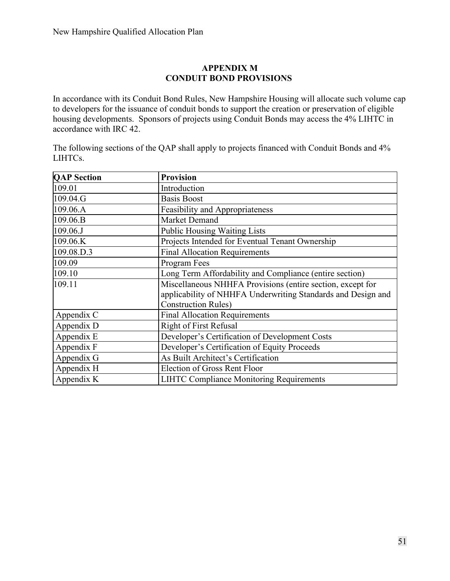## **APPENDIX M CONDUIT BOND PROVISIONS**

In accordance with its Conduit Bond Rules, New Hampshire Housing will allocate such volume cap to developers for the issuance of conduit bonds to support the creation or preservation of eligible housing developments. Sponsors of projects using Conduit Bonds may access the 4% LIHTC in accordance with IRC 42.

The following sections of the QAP shall apply to projects financed with Conduit Bonds and 4% LIHTCs.

| <b>OAP</b> Section | <b>Provision</b>                                                                                                                                         |
|--------------------|----------------------------------------------------------------------------------------------------------------------------------------------------------|
| 109.01             | Introduction                                                                                                                                             |
| 109.04.G           | <b>Basis Boost</b>                                                                                                                                       |
| 109.06.A           | <b>Feasibility and Appropriateness</b>                                                                                                                   |
| 109.06.B           | Market Demand                                                                                                                                            |
| 109.06.J           | <b>Public Housing Waiting Lists</b>                                                                                                                      |
| 109.06.K           | Projects Intended for Eventual Tenant Ownership                                                                                                          |
| 109.08.D.3         | <b>Final Allocation Requirements</b>                                                                                                                     |
| 109.09             | Program Fees                                                                                                                                             |
| 109.10             | Long Term Affordability and Compliance (entire section)                                                                                                  |
| 109.11             | Miscellaneous NHHFA Provisions (entire section, except for<br>applicability of NHHFA Underwriting Standards and Design and<br><b>Construction Rules)</b> |
| Appendix C         | <b>Final Allocation Requirements</b>                                                                                                                     |
| Appendix D         | <b>Right of First Refusal</b>                                                                                                                            |
| Appendix E         | Developer's Certification of Development Costs                                                                                                           |
| Appendix F         | Developer's Certification of Equity Proceeds                                                                                                             |
| Appendix G         | As Built Architect's Certification                                                                                                                       |
| Appendix H         | <b>Election of Gross Rent Floor</b>                                                                                                                      |
| Appendix K         | <b>LIHTC Compliance Monitoring Requirements</b>                                                                                                          |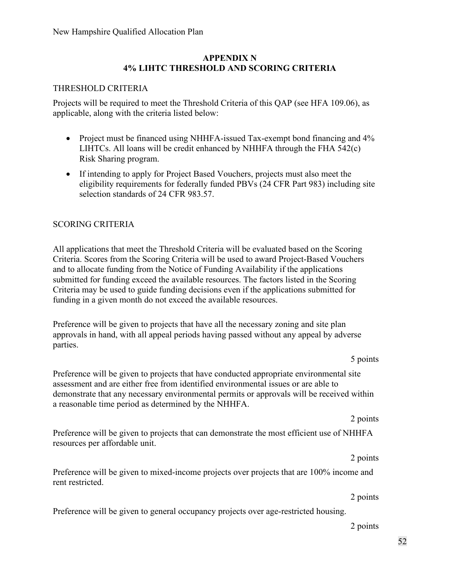#### **APPENDIX N 4% LIHTC THRESHOLD AND SCORING CRITERIA**

#### THRESHOLD CRITERIA

Projects will be required to meet the Threshold Criteria of this QAP (see HFA 109.06), as applicable, along with the criteria listed below:

- Project must be financed using NHHFA-issued Tax-exempt bond financing and 4% LIHTCs. All loans will be credit enhanced by NHHFA through the FHA 542(c) Risk Sharing program.
- If intending to apply for Project Based Vouchers, projects must also meet the eligibility requirements for federally funded PBVs (24 CFR Part 983) including site selection standards of 24 CFR 983.57.

#### SCORING CRITERIA

All applications that meet the Threshold Criteria will be evaluated based on the Scoring Criteria. Scores from the Scoring Criteria will be used to award Project-Based Vouchers and to allocate funding from the Notice of Funding Availability if the applications submitted for funding exceed the available resources. The factors listed in the Scoring Criteria may be used to guide funding decisions even if the applications submitted for funding in a given month do not exceed the available resources.

Preference will be given to projects that have all the necessary zoning and site plan approvals in hand, with all appeal periods having passed without any appeal by adverse parties.

5 points

Preference will be given to projects that have conducted appropriate environmental site assessment and are either free from identified environmental issues or are able to demonstrate that any necessary environmental permits or approvals will be received within a reasonable time period as determined by the NHHFA.

2 points

Preference will be given to projects that can demonstrate the most efficient use of NHHFA resources per affordable unit.

Preference will be given to mixed-income projects over projects that are 100% income and rent restricted.

2 points

2 points

Preference will be given to general occupancy projects over age-restricted housing.

2 points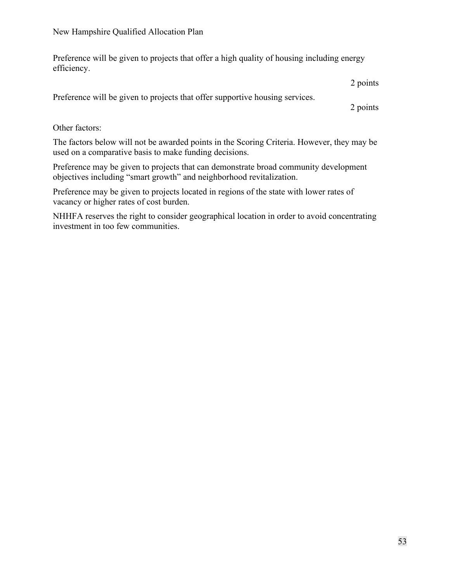Preference will be given to projects that offer a high quality of housing including energy efficiency.

2 points

Preference will be given to projects that offer supportive housing services.

2 points

Other factors:

The factors below will not be awarded points in the Scoring Criteria. However, they may be used on a comparative basis to make funding decisions.

Preference may be given to projects that can demonstrate broad community development objectives including "smart growth" and neighborhood revitalization.

Preference may be given to projects located in regions of the state with lower rates of vacancy or higher rates of cost burden.

NHHFA reserves the right to consider geographical location in order to avoid concentrating investment in too few communities.